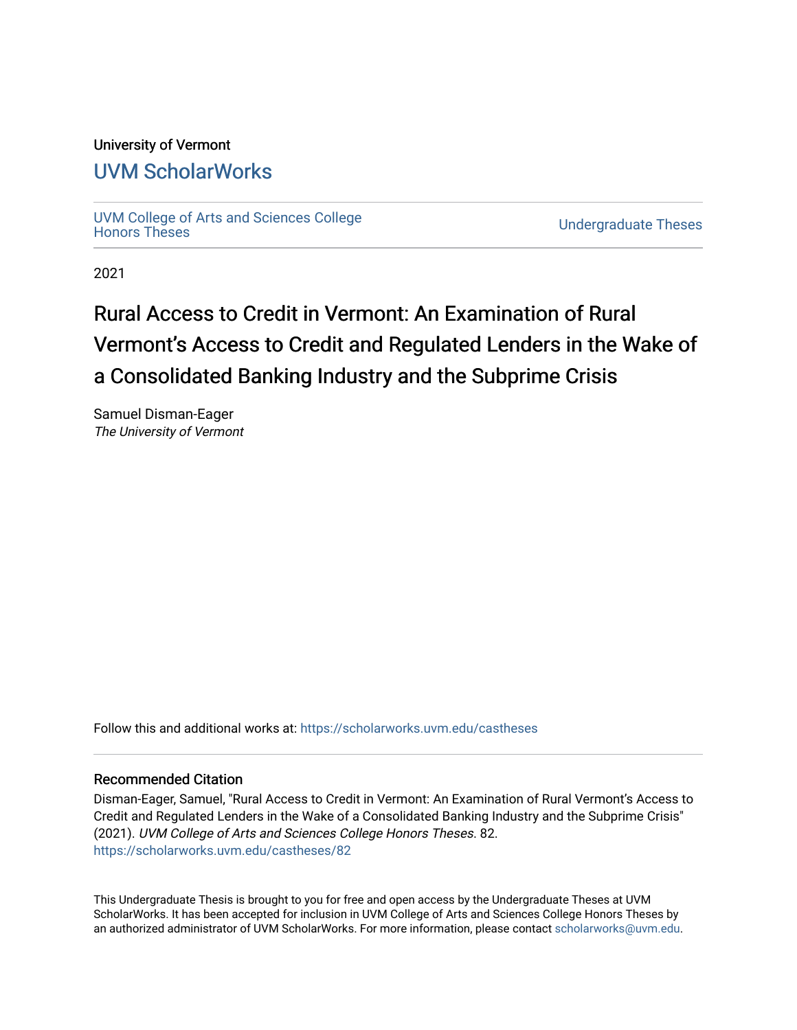## University of Vermont

# [UVM ScholarWorks](https://scholarworks.uvm.edu/)

[UVM College of Arts and Sciences College](https://scholarworks.uvm.edu/castheses)

**Undergraduate Theses** 

2021

# Rural Access to Credit in Vermont: An Examination of Rural Vermont's Access to Credit and Regulated Lenders in the Wake of a Consolidated Banking Industry and the Subprime Crisis

Samuel Disman-Eager The University of Vermont

Follow this and additional works at: [https://scholarworks.uvm.edu/castheses](https://scholarworks.uvm.edu/castheses?utm_source=scholarworks.uvm.edu%2Fcastheses%2F82&utm_medium=PDF&utm_campaign=PDFCoverPages)

#### Recommended Citation

Disman-Eager, Samuel, "Rural Access to Credit in Vermont: An Examination of Rural Vermont's Access to Credit and Regulated Lenders in the Wake of a Consolidated Banking Industry and the Subprime Crisis" (2021). UVM College of Arts and Sciences College Honors Theses. 82. [https://scholarworks.uvm.edu/castheses/82](https://scholarworks.uvm.edu/castheses/82?utm_source=scholarworks.uvm.edu%2Fcastheses%2F82&utm_medium=PDF&utm_campaign=PDFCoverPages) 

This Undergraduate Thesis is brought to you for free and open access by the Undergraduate Theses at UVM ScholarWorks. It has been accepted for inclusion in UVM College of Arts and Sciences College Honors Theses by an authorized administrator of UVM ScholarWorks. For more information, please contact [scholarworks@uvm.edu.](mailto:scholarworks@uvm.edu)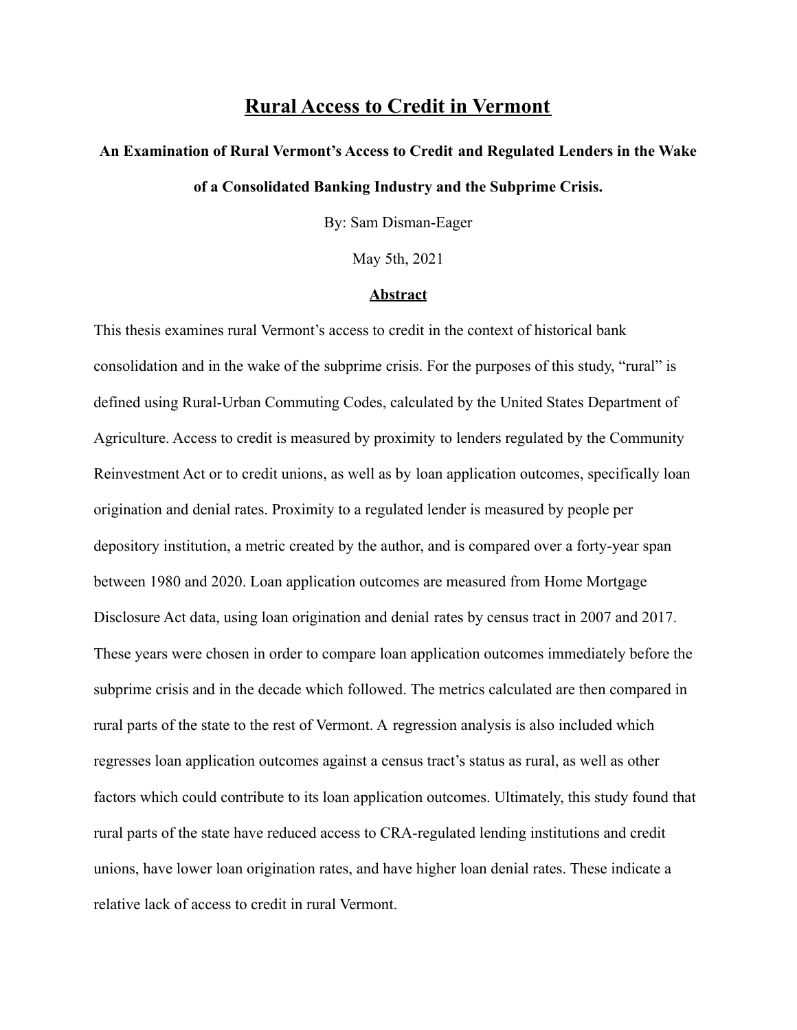# **Rural Access to Credit in Vermont**

# **An Examination of Rural Vermont's Access to Credit and Regulated Lenders in the Wake**

# **of a Consolidated Banking Industry and the Subprime Crisis.**

By: Sam Disman-Eager

May 5th, 2021

#### **Abstract**

This thesis examines rural Vermont's access to credit in the context of historical bank consolidation and in the wake of the subprime crisis. For the purposes of this study, "rural" is defined using Rural-Urban Commuting Codes, calculated by the United States Department of Agriculture. Access to credit is measured by proximity to lenders regulated by the Community Reinvestment Act or to credit unions, as well as by loan application outcomes, specifically loan origination and denial rates. Proximity to a regulated lender is measured by people per depository institution, a metric created by the author, and is compared over a forty-year span between 1980 and 2020. Loan application outcomes are measured from Home Mortgage Disclosure Act data, using loan origination and denial rates by census tract in 2007 and 2017. These years were chosen in order to compare loan application outcomes immediately before the subprime crisis and in the decade which followed. The metrics calculated are then compared in rural parts of the state to the rest of Vermont. A regression analysis is also included which regresses loan application outcomes against a census tract's status as rural, as well as other factors which could contribute to its loan application outcomes. Ultimately, this study found that rural parts of the state have reduced access to CRA-regulated lending institutions and credit unions, have lower loan origination rates, and have higher loan denial rates. These indicate a relative lack of access to credit in rural Vermont.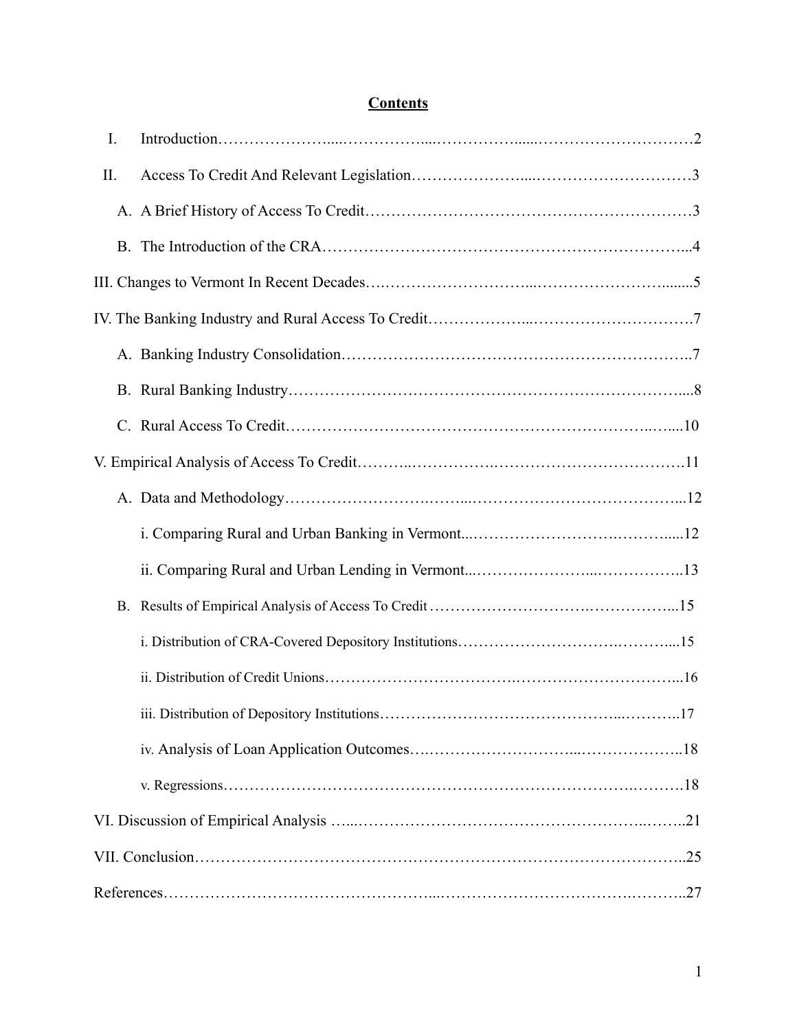# **Contents**

| I.        |  |
|-----------|--|
| $\prod$ . |  |
|           |  |
|           |  |
|           |  |
|           |  |
|           |  |
|           |  |
|           |  |
|           |  |
|           |  |
|           |  |
|           |  |
| <b>B.</b> |  |
|           |  |
|           |  |
|           |  |
|           |  |
|           |  |
|           |  |
|           |  |
|           |  |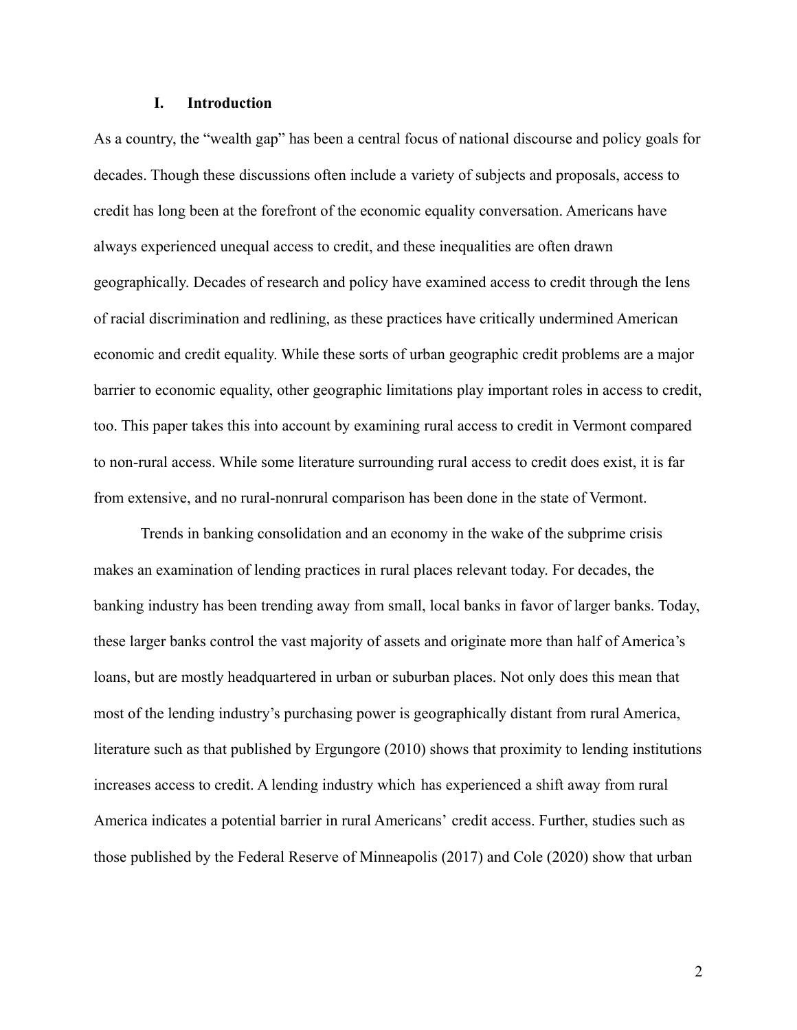#### **I. Introduction**

As a country, the "wealth gap" has been a central focus of national discourse and policy goals for decades. Though these discussions often include a variety of subjects and proposals, access to credit has long been at the forefront of the economic equality conversation. Americans have always experienced unequal access to credit, and these inequalities are often drawn geographically. Decades of research and policy have examined access to credit through the lens of racial discrimination and redlining, as these practices have critically undermined American economic and credit equality. While these sorts of urban geographic credit problems are a major barrier to economic equality, other geographic limitations play important roles in access to credit, too. This paper takes this into account by examining rural access to credit in Vermont compared to non-rural access. While some literature surrounding rural access to credit does exist, it is far from extensive, and no rural-nonrural comparison has been done in the state of Vermont.

Trends in banking consolidation and an economy in the wake of the subprime crisis makes an examination of lending practices in rural places relevant today. For decades, the banking industry has been trending away from small, local banks in favor of larger banks. Today, these larger banks control the vast majority of assets and originate more than half of America's loans, but are mostly headquartered in urban or suburban places. Not only does this mean that most of the lending industry's purchasing power is geographically distant from rural America, literature such as that published by Ergungore (2010) shows that proximity to lending institutions increases access to credit. A lending industry which has experienced a shift away from rural America indicates a potential barrier in rural Americans' credit access. Further, studies such as those published by the Federal Reserve of Minneapolis (2017) and Cole (2020) show that urban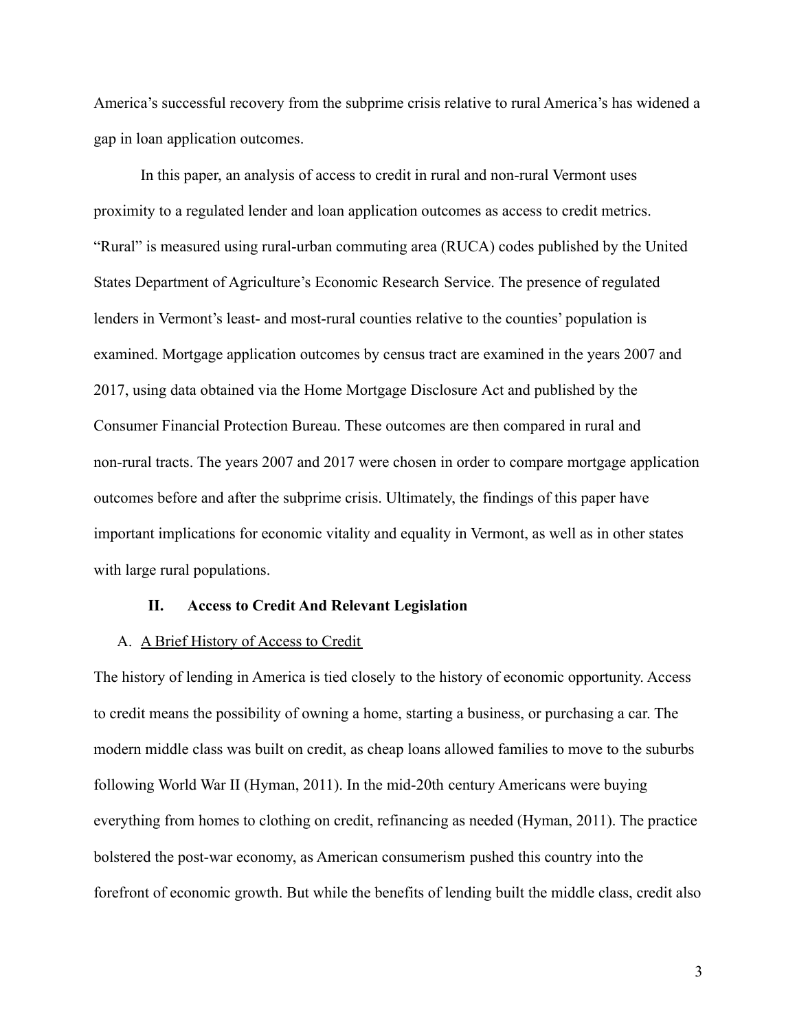America's successful recovery from the subprime crisis relative to rural America's has widened a gap in loan application outcomes.

In this paper, an analysis of access to credit in rural and non-rural Vermont uses proximity to a regulated lender and loan application outcomes as access to credit metrics. "Rural" is measured using rural-urban commuting area (RUCA) codes published by the United States Department of Agriculture's Economic Research Service. The presence of regulated lenders in Vermont's least- and most-rural counties relative to the counties' population is examined. Mortgage application outcomes by census tract are examined in the years 2007 and 2017, using data obtained via the Home Mortgage Disclosure Act and published by the Consumer Financial Protection Bureau. These outcomes are then compared in rural and non-rural tracts. The years 2007 and 2017 were chosen in order to compare mortgage application outcomes before and after the subprime crisis. Ultimately, the findings of this paper have important implications for economic vitality and equality in Vermont, as well as in other states with large rural populations.

#### **II. Access to Credit And Relevant Legislation**

#### A. A Brief History of Access to Credit

The history of lending in America is tied closely to the history of economic opportunity. Access to credit means the possibility of owning a home, starting a business, or purchasing a car. The modern middle class was built on credit, as cheap loans allowed families to move to the suburbs following World War II (Hyman, 2011). In the mid-20th century Americans were buying everything from homes to clothing on credit, refinancing as needed (Hyman, 2011). The practice bolstered the post-war economy, as American consumerism pushed this country into the forefront of economic growth. But while the benefits of lending built the middle class, credit also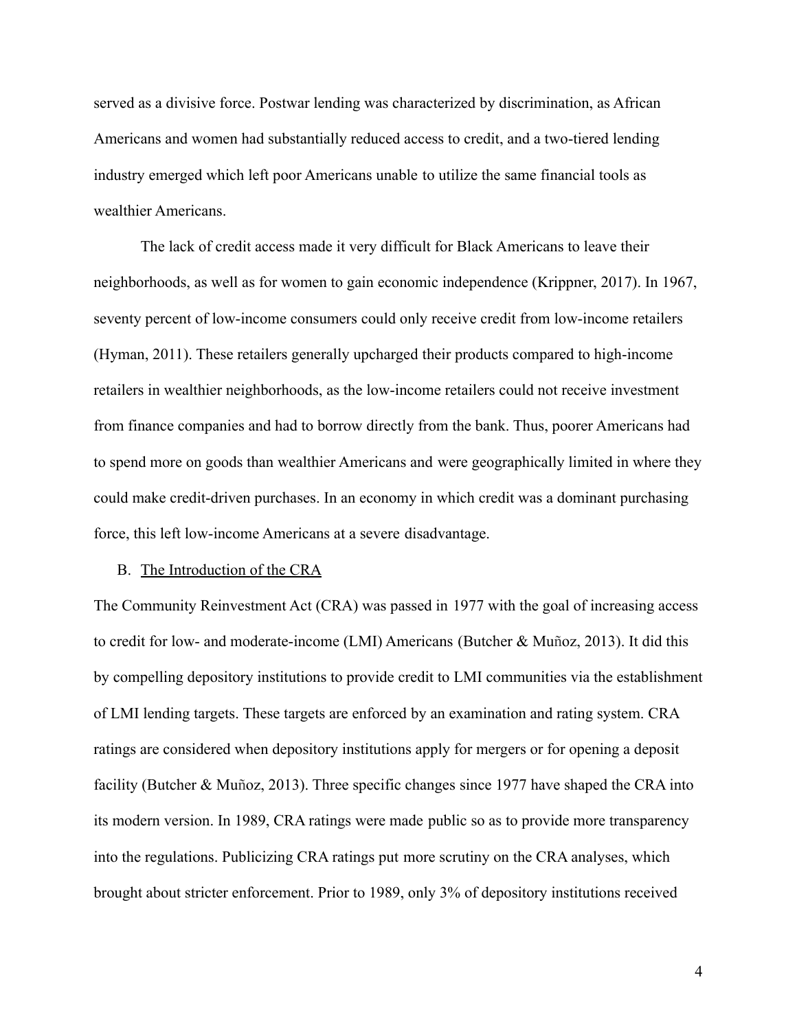served as a divisive force. Postwar lending was characterized by discrimination, as African Americans and women had substantially reduced access to credit, and a two-tiered lending industry emerged which left poor Americans unable to utilize the same financial tools as wealthier Americans.

The lack of credit access made it very difficult for Black Americans to leave their neighborhoods, as well as for women to gain economic independence (Krippner, 2017). In 1967, seventy percent of low-income consumers could only receive credit from low-income retailers (Hyman, 2011). These retailers generally upcharged their products compared to high-income retailers in wealthier neighborhoods, as the low-income retailers could not receive investment from finance companies and had to borrow directly from the bank. Thus, poorer Americans had to spend more on goods than wealthier Americans and were geographically limited in where they could make credit-driven purchases. In an economy in which credit was a dominant purchasing force, this left low-income Americans at a severe disadvantage.

#### B. The Introduction of the CRA

The Community Reinvestment Act (CRA) was passed in 1977 with the goal of increasing access to credit for low- and moderate-income (LMI) Americans (Butcher & Muñoz, 2013). It did this by compelling depository institutions to provide credit to LMI communities via the establishment of LMI lending targets. These targets are enforced by an examination and rating system. CRA ratings are considered when depository institutions apply for mergers or for opening a deposit facility (Butcher & Muñoz, 2013). Three specific changes since 1977 have shaped the CRA into its modern version. In 1989, CRA ratings were made public so as to provide more transparency into the regulations. Publicizing CRA ratings put more scrutiny on the CRA analyses, which brought about stricter enforcement. Prior to 1989, only 3% of depository institutions received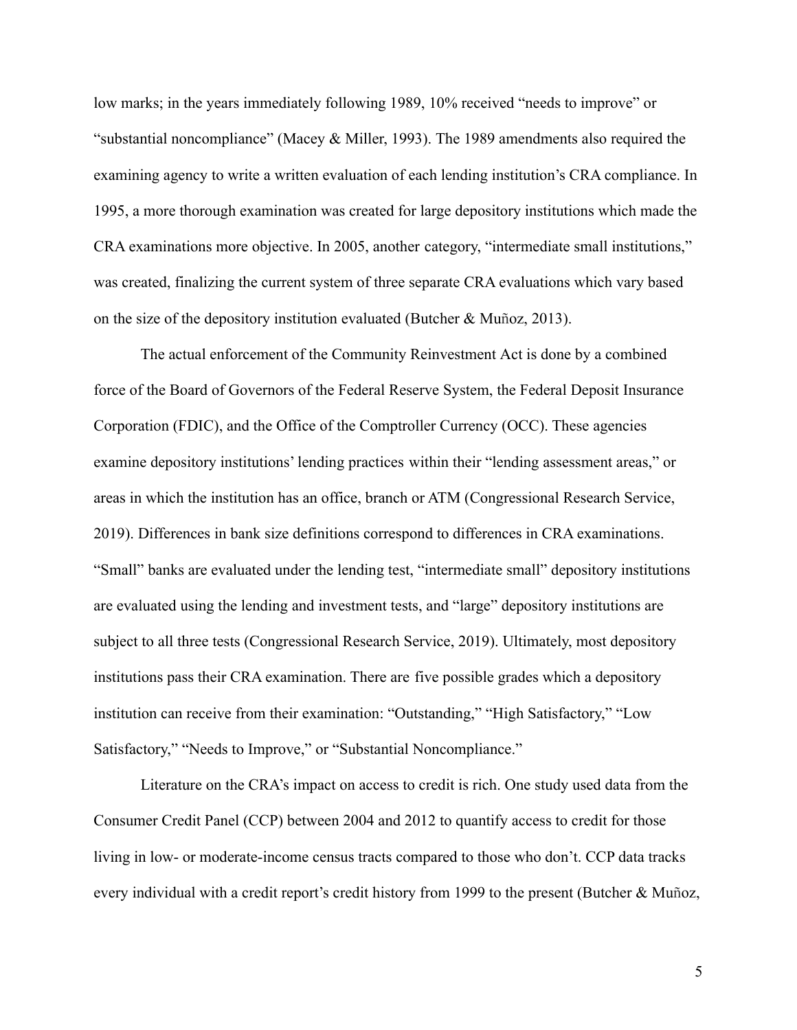low marks; in the years immediately following 1989, 10% received "needs to improve" or "substantial noncompliance" (Macey & Miller, 1993). The 1989 amendments also required the examining agency to write a written evaluation of each lending institution's CRA compliance. In 1995, a more thorough examination was created for large depository institutions which made the CRA examinations more objective. In 2005, another category, "intermediate small institutions," was created, finalizing the current system of three separate CRA evaluations which vary based on the size of the depository institution evaluated (Butcher & Muñoz, 2013).

The actual enforcement of the Community Reinvestment Act is done by a combined force of the Board of Governors of the Federal Reserve System, the Federal Deposit Insurance Corporation (FDIC), and the Office of the Comptroller Currency (OCC). These agencies examine depository institutions' lending practices within their "lending assessment areas," or areas in which the institution has an office, branch or ATM (Congressional Research Service, 2019). Differences in bank size definitions correspond to differences in CRA examinations. "Small" banks are evaluated under the lending test, "intermediate small" depository institutions are evaluated using the lending and investment tests, and "large" depository institutions are subject to all three tests (Congressional Research Service, 2019). Ultimately, most depository institutions pass their CRA examination. There are five possible grades which a depository institution can receive from their examination: "Outstanding," "High Satisfactory," "Low Satisfactory," "Needs to Improve," or "Substantial Noncompliance."

Literature on the CRA's impact on access to credit is rich. One study used data from the Consumer Credit Panel (CCP) between 2004 and 2012 to quantify access to credit for those living in low- or moderate-income census tracts compared to those who don't. CCP data tracks every individual with a credit report's credit history from 1999 to the present (Butcher & Muñoz,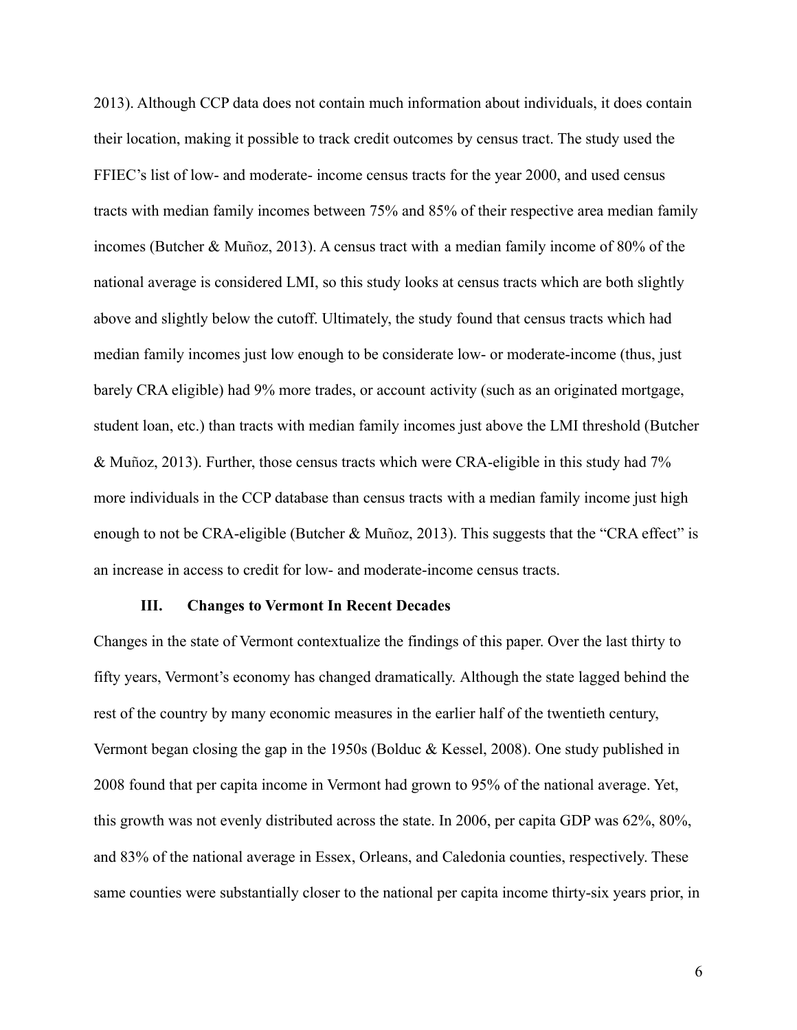2013). Although CCP data does not contain much information about individuals, it does contain their location, making it possible to track credit outcomes by census tract. The study used the FFIEC's list of low- and moderate- income census tracts for the year 2000, and used census tracts with median family incomes between 75% and 85% of their respective area median family incomes (Butcher & Muñoz, 2013). A census tract with a median family income of 80% of the national average is considered LMI, so this study looks at census tracts which are both slightly above and slightly below the cutoff. Ultimately, the study found that census tracts which had median family incomes just low enough to be considerate low- or moderate-income (thus, just barely CRA eligible) had 9% more trades, or account activity (such as an originated mortgage, student loan, etc.) than tracts with median family incomes just above the LMI threshold (Butcher & Muñoz, 2013). Further, those census tracts which were CRA-eligible in this study had 7% more individuals in the CCP database than census tracts with a median family income just high enough to not be CRA-eligible (Butcher & Muñoz, 2013). This suggests that the "CRA effect" is an increase in access to credit for low- and moderate-income census tracts.

#### **III. Changes to Vermont In Recent Decades**

Changes in the state of Vermont contextualize the findings of this paper. Over the last thirty to fifty years, Vermont's economy has changed dramatically. Although the state lagged behind the rest of the country by many economic measures in the earlier half of the twentieth century, Vermont began closing the gap in the 1950s (Bolduc & Kessel, 2008). One study published in 2008 found that per capita income in Vermont had grown to 95% of the national average. Yet, this growth was not evenly distributed across the state. In 2006, per capita GDP was 62%, 80%, and 83% of the national average in Essex, Orleans, and Caledonia counties, respectively. These same counties were substantially closer to the national per capita income thirty-six years prior, in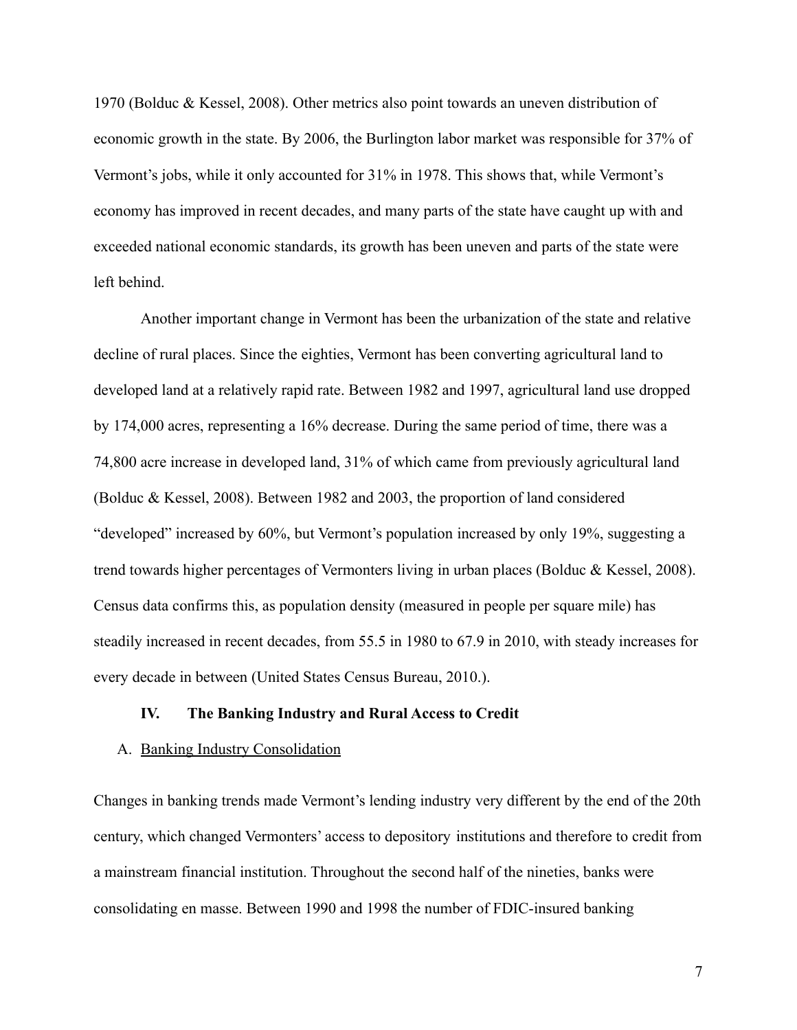1970 (Bolduc & Kessel, 2008). Other metrics also point towards an uneven distribution of economic growth in the state. By 2006, the Burlington labor market was responsible for 37% of Vermont's jobs, while it only accounted for 31% in 1978. This shows that, while Vermont's economy has improved in recent decades, and many parts of the state have caught up with and exceeded national economic standards, its growth has been uneven and parts of the state were left behind.

Another important change in Vermont has been the urbanization of the state and relative decline of rural places. Since the eighties, Vermont has been converting agricultural land to developed land at a relatively rapid rate. Between 1982 and 1997, agricultural land use dropped by 174,000 acres, representing a 16% decrease. During the same period of time, there was a 74,800 acre increase in developed land, 31% of which came from previously agricultural land (Bolduc & Kessel, 2008). Between 1982 and 2003, the proportion of land considered "developed" increased by 60%, but Vermont's population increased by only 19%, suggesting a trend towards higher percentages of Vermonters living in urban places (Bolduc & Kessel, 2008). Census data confirms this, as population density (measured in people per square mile) has steadily increased in recent decades, from 55.5 in 1980 to 67.9 in 2010, with steady increases for every decade in between (United States Census Bureau, 2010.).

#### **IV. The Banking Industry and Rural Access to Credit**

#### A. Banking Industry Consolidation

Changes in banking trends made Vermont's lending industry very different by the end of the 20th century, which changed Vermonters' access to depository institutions and therefore to credit from a mainstream financial institution. Throughout the second half of the nineties, banks were consolidating en masse. Between 1990 and 1998 the number of FDIC-insured banking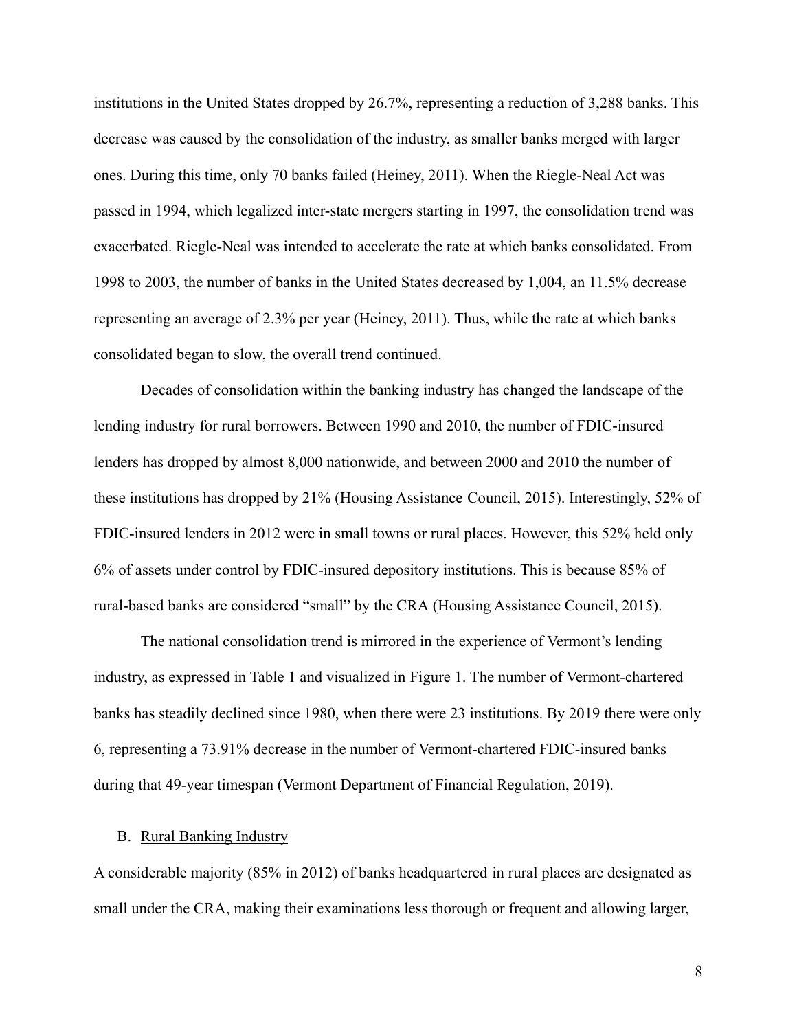institutions in the United States dropped by 26.7%, representing a reduction of 3,288 banks. This decrease was caused by the consolidation of the industry, as smaller banks merged with larger ones. During this time, only 70 banks failed (Heiney, 2011). When the Riegle-Neal Act was passed in 1994, which legalized inter-state mergers starting in 1997, the consolidation trend was exacerbated. Riegle-Neal was intended to accelerate the rate at which banks consolidated. From 1998 to 2003, the number of banks in the United States decreased by 1,004, an 11.5% decrease representing an average of 2.3% per year (Heiney, 2011). Thus, while the rate at which banks consolidated began to slow, the overall trend continued.

Decades of consolidation within the banking industry has changed the landscape of the lending industry for rural borrowers. Between 1990 and 2010, the number of FDIC-insured lenders has dropped by almost 8,000 nationwide, and between 2000 and 2010 the number of these institutions has dropped by 21% (Housing Assistance Council, 2015). Interestingly, 52% of FDIC-insured lenders in 2012 were in small towns or rural places. However, this 52% held only 6% of assets under control by FDIC-insured depository institutions. This is because 85% of rural-based banks are considered "small" by the CRA (Housing Assistance Council, 2015).

The national consolidation trend is mirrored in the experience of Vermont's lending industry, as expressed in Table 1 and visualized in Figure 1. The number of Vermont-chartered banks has steadily declined since 1980, when there were 23 institutions. By 2019 there were only 6, representing a 73.91% decrease in the number of Vermont-chartered FDIC-insured banks during that 49-year timespan (Vermont Department of Financial Regulation, 2019).

#### B. Rural Banking Industry

A considerable majority (85% in 2012) of banks headquartered in rural places are designated as small under the CRA, making their examinations less thorough or frequent and allowing larger,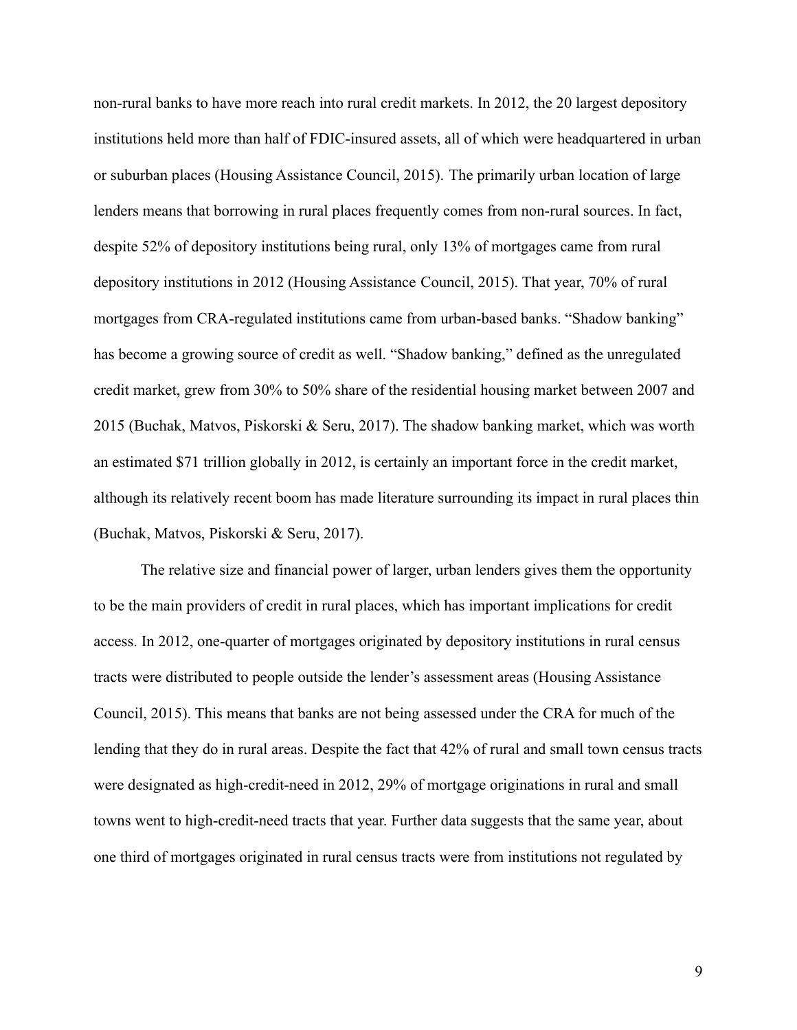non-rural banks to have more reach into rural credit markets. In 2012, the 20 largest depository institutions held more than half of FDIC-insured assets, all of which were headquartered in urban or suburban places (Housing Assistance Council, 2015). The primarily urban location of large lenders means that borrowing in rural places frequently comes from non-rural sources. In fact, despite 52% of depository institutions being rural, only 13% of mortgages came from rural depository institutions in 2012 (Housing Assistance Council, 2015). That year, 70% of rural mortgages from CRA-regulated institutions came from urban-based banks. "Shadow banking" has become a growing source of credit as well. "Shadow banking," defined as the unregulated credit market, grew from 30% to 50% share of the residential housing market between 2007 and 2015 (Buchak, Matvos, Piskorski & Seru, 2017). The shadow banking market, which was worth an estimated \$71 trillion globally in 2012, is certainly an important force in the credit market, although its relatively recent boom has made literature surrounding its impact in rural places thin (Buchak, Matvos, Piskorski & Seru, 2017).

The relative size and financial power of larger, urban lenders gives them the opportunity to be the main providers of credit in rural places, which has important implications for credit access. In 2012, one-quarter of mortgages originated by depository institutions in rural census tracts were distributed to people outside the lender's assessment areas (Housing Assistance Council, 2015). This means that banks are not being assessed under the CRA for much of the lending that they do in rural areas. Despite the fact that 42% of rural and small town census tracts were designated as high-credit-need in 2012, 29% of mortgage originations in rural and small towns went to high-credit-need tracts that year. Further data suggests that the same year, about one third of mortgages originated in rural census tracts were from institutions not regulated by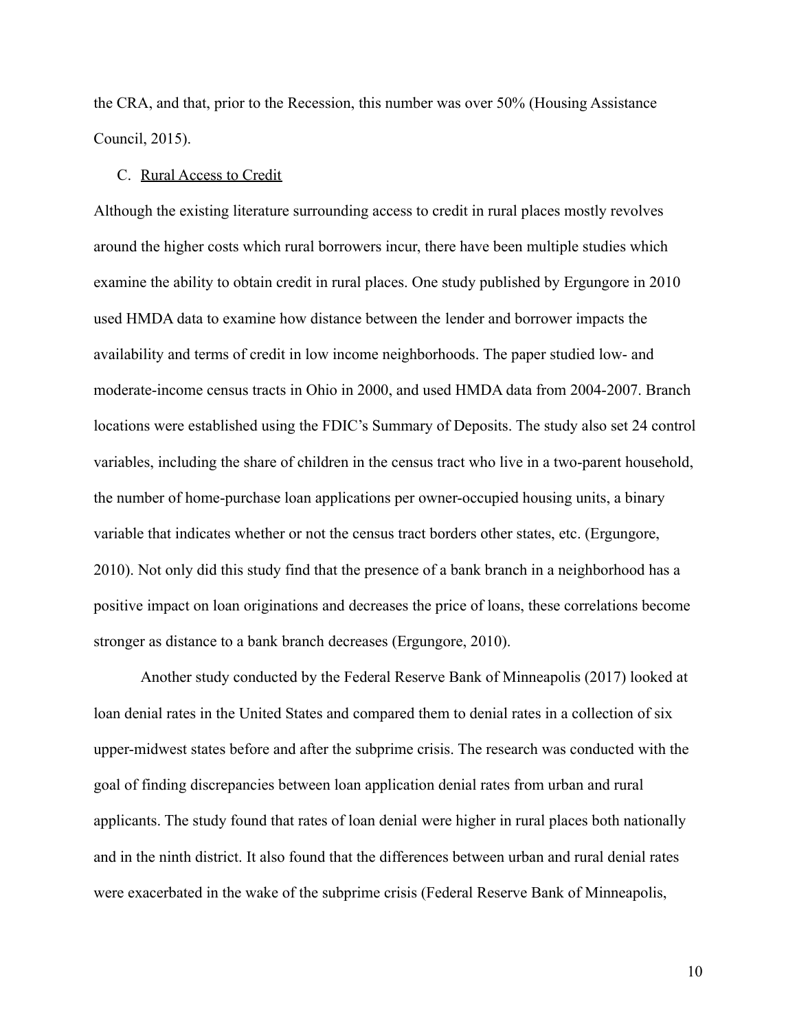the CRA, and that, prior to the Recession, this number was over 50% (Housing Assistance Council, 2015).

#### C. Rural Access to Credit

Although the existing literature surrounding access to credit in rural places mostly revolves around the higher costs which rural borrowers incur, there have been multiple studies which examine the ability to obtain credit in rural places. One study published by Ergungore in 2010 used HMDA data to examine how distance between the lender and borrower impacts the availability and terms of credit in low income neighborhoods. The paper studied low- and moderate-income census tracts in Ohio in 2000, and used HMDA data from 2004-2007. Branch locations were established using the FDIC's Summary of Deposits. The study also set 24 control variables, including the share of children in the census tract who live in a two-parent household, the number of home-purchase loan applications per owner-occupied housing units, a binary variable that indicates whether or not the census tract borders other states, etc. (Ergungore, 2010). Not only did this study find that the presence of a bank branch in a neighborhood has a positive impact on loan originations and decreases the price of loans, these correlations become stronger as distance to a bank branch decreases (Ergungore, 2010).

Another study conducted by the Federal Reserve Bank of Minneapolis (2017) looked at loan denial rates in the United States and compared them to denial rates in a collection of six upper-midwest states before and after the subprime crisis. The research was conducted with the goal of finding discrepancies between loan application denial rates from urban and rural applicants. The study found that rates of loan denial were higher in rural places both nationally and in the ninth district. It also found that the differences between urban and rural denial rates were exacerbated in the wake of the subprime crisis (Federal Reserve Bank of Minneapolis,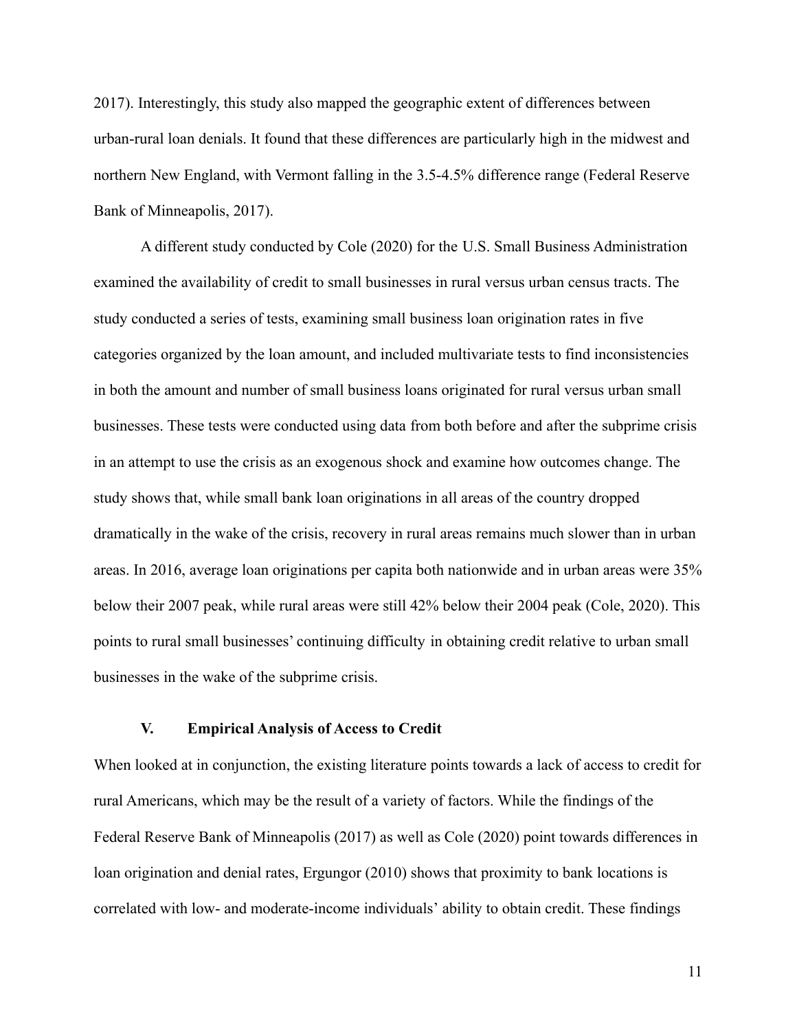2017). Interestingly, this study also mapped the geographic extent of differences between urban-rural loan denials. It found that these differences are particularly high in the midwest and northern New England, with Vermont falling in the 3.5-4.5% difference range (Federal Reserve Bank of Minneapolis, 2017).

A different study conducted by Cole (2020) for the U.S. Small Business Administration examined the availability of credit to small businesses in rural versus urban census tracts. The study conducted a series of tests, examining small business loan origination rates in five categories organized by the loan amount, and included multivariate tests to find inconsistencies in both the amount and number of small business loans originated for rural versus urban small businesses. These tests were conducted using data from both before and after the subprime crisis in an attempt to use the crisis as an exogenous shock and examine how outcomes change. The study shows that, while small bank loan originations in all areas of the country dropped dramatically in the wake of the crisis, recovery in rural areas remains much slower than in urban areas. In 2016, average loan originations per capita both nationwide and in urban areas were 35% below their 2007 peak, while rural areas were still 42% below their 2004 peak (Cole, 2020). This points to rural small businesses' continuing difficulty in obtaining credit relative to urban small businesses in the wake of the subprime crisis.

#### **V. Empirical Analysis of Access to Credit**

When looked at in conjunction, the existing literature points towards a lack of access to credit for rural Americans, which may be the result of a variety of factors. While the findings of the Federal Reserve Bank of Minneapolis (2017) as well as Cole (2020) point towards differences in loan origination and denial rates, Ergungor (2010) shows that proximity to bank locations is correlated with low- and moderate-income individuals' ability to obtain credit. These findings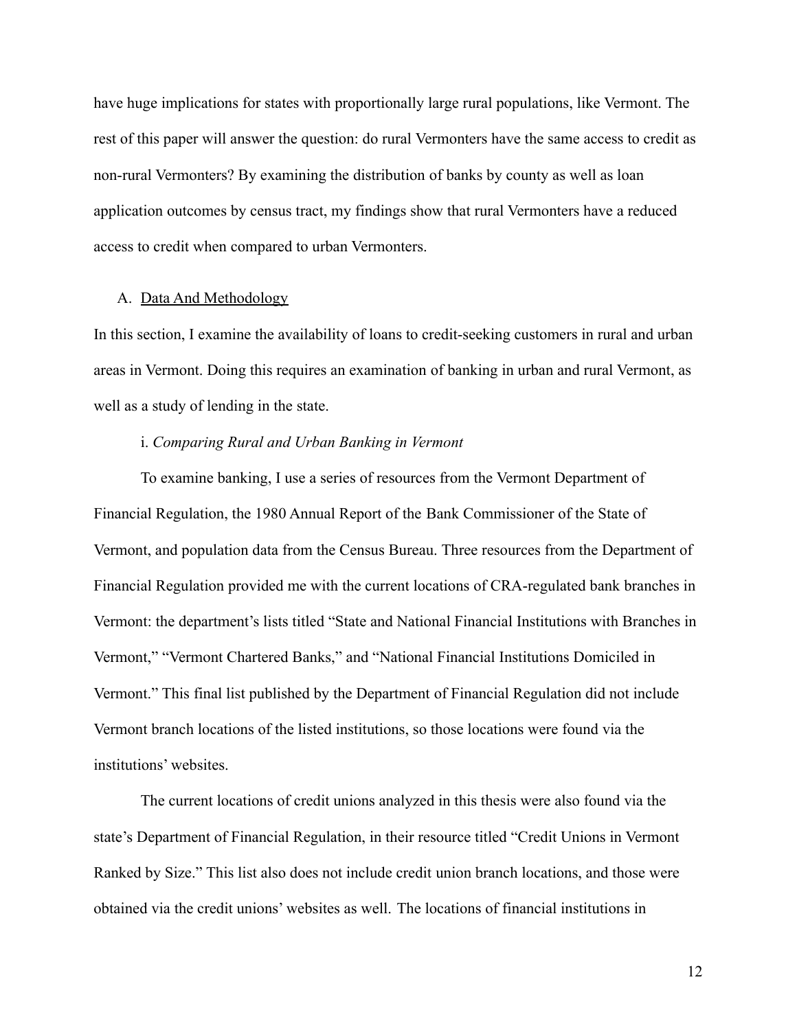have huge implications for states with proportionally large rural populations, like Vermont. The rest of this paper will answer the question: do rural Vermonters have the same access to credit as non-rural Vermonters? By examining the distribution of banks by county as well as loan application outcomes by census tract, my findings show that rural Vermonters have a reduced access to credit when compared to urban Vermonters.

#### A. Data And Methodology

In this section, I examine the availability of loans to credit-seeking customers in rural and urban areas in Vermont. Doing this requires an examination of banking in urban and rural Vermont, as well as a study of lending in the state.

#### i. *Comparing Rural and Urban Banking in Vermont*

To examine banking, I use a series of resources from the Vermont Department of Financial Regulation, the 1980 Annual Report of the Bank Commissioner of the State of Vermont, and population data from the Census Bureau. Three resources from the Department of Financial Regulation provided me with the current locations of CRA-regulated bank branches in Vermont: the department's lists titled "State and National Financial Institutions with Branches in Vermont," "Vermont Chartered Banks," and "National Financial Institutions Domiciled in Vermont." This final list published by the Department of Financial Regulation did not include Vermont branch locations of the listed institutions, so those locations were found via the institutions' websites.

The current locations of credit unions analyzed in this thesis were also found via the state's Department of Financial Regulation, in their resource titled "Credit Unions in Vermont Ranked by Size." This list also does not include credit union branch locations, and those were obtained via the credit unions' websites as well. The locations of financial institutions in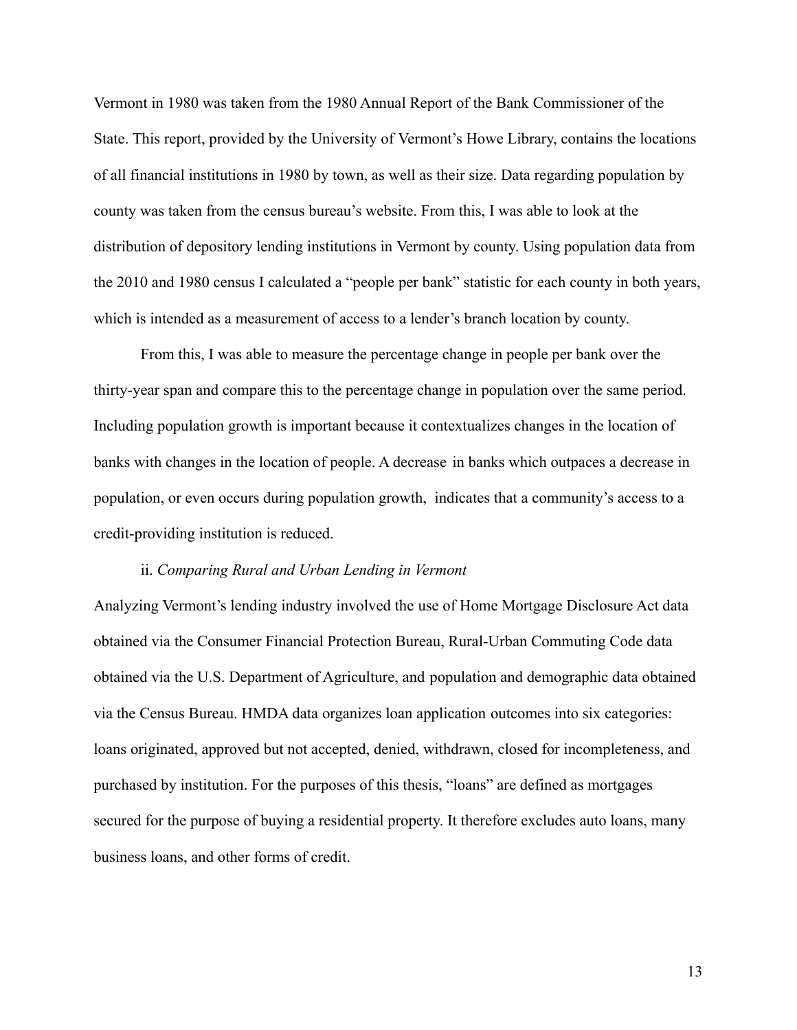Vermont in 1980 was taken from the 1980 Annual Report of the Bank Commissioner of the State. This report, provided by the University of Vermont's Howe Library, contains the locations of all financial institutions in 1980 by town, as well as their size. Data regarding population by county was taken from the census bureau's website. From this, I was able to look at the distribution of depository lending institutions in Vermont by county. Using population data from the 2010 and 1980 census I calculated a "people per bank" statistic for each county in both years, which is intended as a measurement of access to a lender's branch location by county.

From this, I was able to measure the percentage change in people per bank over the thirty-year span and compare this to the percentage change in population over the same period. Including population growth is important because it contextualizes changes in the location of banks with changes in the location of people. A decrease in banks which outpaces a decrease in population, or even occurs during population growth, indicates that a community's access to a credit-providing institution is reduced.

#### ii. *Comparing Rural and Urban Lending in Vermont*

Analyzing Vermont's lending industry involved the use of Home Mortgage Disclosure Act data obtained via the Consumer Financial Protection Bureau, Rural-Urban Commuting Code data obtained via the U.S. Department of Agriculture, and population and demographic data obtained via the Census Bureau. HMDA data organizes loan application outcomes into six categories: loans originated, approved but not accepted, denied, withdrawn, closed for incompleteness, and purchased by institution. For the purposes of this thesis, "loans" are defined as mortgages secured for the purpose of buying a residential property. It therefore excludes auto loans, many business loans, and other forms of credit.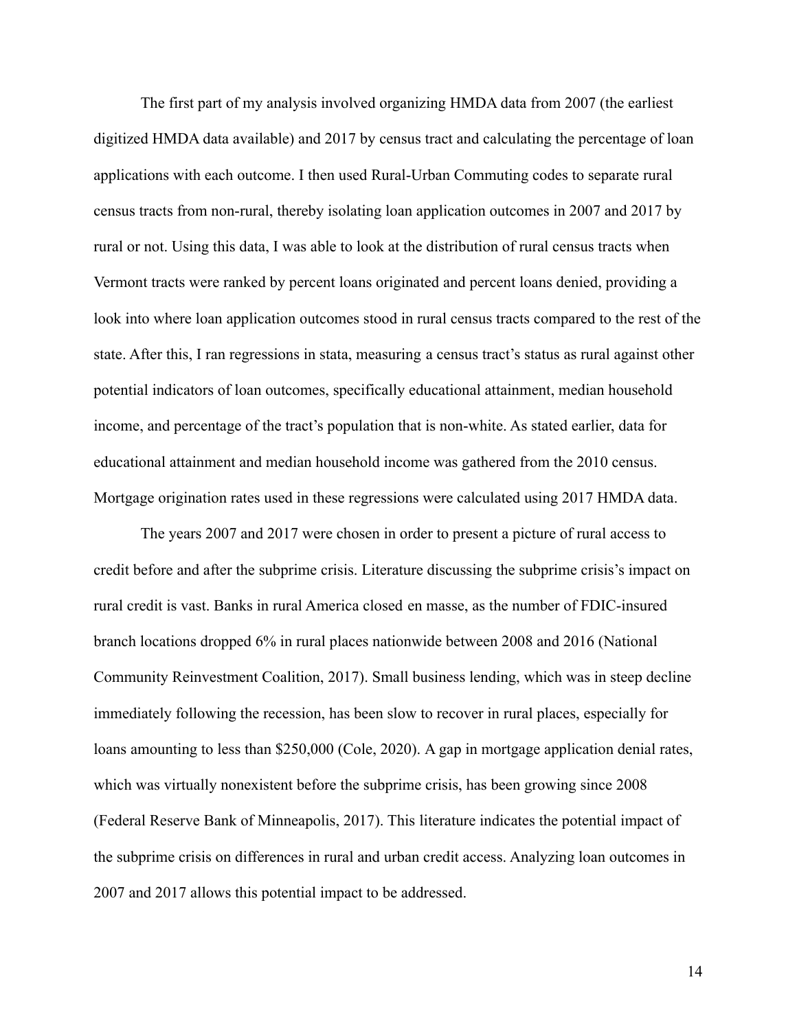The first part of my analysis involved organizing HMDA data from 2007 (the earliest digitized HMDA data available) and 2017 by census tract and calculating the percentage of loan applications with each outcome. I then used Rural-Urban Commuting codes to separate rural census tracts from non-rural, thereby isolating loan application outcomes in 2007 and 2017 by rural or not. Using this data, I was able to look at the distribution of rural census tracts when Vermont tracts were ranked by percent loans originated and percent loans denied, providing a look into where loan application outcomes stood in rural census tracts compared to the rest of the state. After this, I ran regressions in stata, measuring a census tract's status as rural against other potential indicators of loan outcomes, specifically educational attainment, median household income, and percentage of the tract's population that is non-white. As stated earlier, data for educational attainment and median household income was gathered from the 2010 census. Mortgage origination rates used in these regressions were calculated using 2017 HMDA data.

The years 2007 and 2017 were chosen in order to present a picture of rural access to credit before and after the subprime crisis. Literature discussing the subprime crisis's impact on rural credit is vast. Banks in rural America closed en masse, as the number of FDIC-insured branch locations dropped 6% in rural places nationwide between 2008 and 2016 (National Community Reinvestment Coalition, 2017). Small business lending, which was in steep decline immediately following the recession, has been slow to recover in rural places, especially for loans amounting to less than \$250,000 (Cole, 2020). A gap in mortgage application denial rates, which was virtually nonexistent before the subprime crisis, has been growing since 2008 (Federal Reserve Bank of Minneapolis, 2017). This literature indicates the potential impact of the subprime crisis on differences in rural and urban credit access. Analyzing loan outcomes in 2007 and 2017 allows this potential impact to be addressed.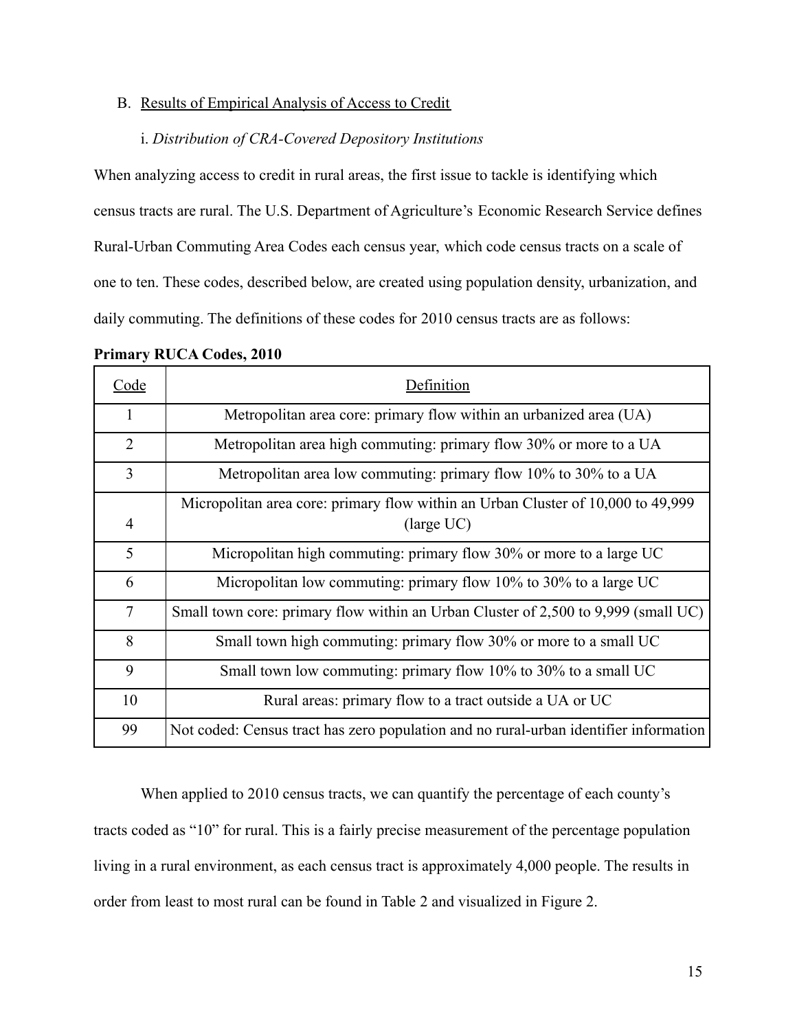#### B. Results of Empirical Analysis of Access to Credit

#### i. *Distribution of CRA-Covered Depository Institutions*

When analyzing access to credit in rural areas, the first issue to tackle is identifying which census tracts are rural. The U.S. Department of Agriculture's Economic Research Service defines Rural-Urban Commuting Area Codes each census year, which code census tracts on a scale of one to ten. These codes, described below, are created using population density, urbanization, and daily commuting. The definitions of these codes for 2010 census tracts are as follows:

| Code           | Definition                                                                            |
|----------------|---------------------------------------------------------------------------------------|
| $\mathbf{1}$   | Metropolitan area core: primary flow within an urbanized area (UA)                    |
| $\overline{2}$ | Metropolitan area high commuting: primary flow 30% or more to a UA                    |
| 3              | Metropolitan area low commuting: primary flow 10% to 30% to a UA                      |
|                | Micropolitan area core: primary flow within an Urban Cluster of 10,000 to 49,999      |
| 4              | $\langle$ large UC $\rangle$                                                          |
| 5              | Micropolitan high commuting: primary flow 30% or more to a large UC                   |
| 6              | Micropolitan low commuting: primary flow $10\%$ to $30\%$ to a large UC               |
| $\tau$         | Small town core: primary flow within an Urban Cluster of 2,500 to 9,999 (small UC)    |
| 8              | Small town high commuting: primary flow 30% or more to a small UC                     |
| 9              | Small town low commuting: primary flow 10% to 30% to a small UC                       |
| 10             | Rural areas: primary flow to a tract outside a UA or UC                               |
| 99             | Not coded: Census tract has zero population and no rural-urban identifier information |

#### **Primary RUCA Codes, 2010**

When applied to 2010 census tracts, we can quantify the percentage of each county's tracts coded as "10" for rural. This is a fairly precise measurement of the percentage population living in a rural environment, as each census tract is approximately 4,000 people. The results in order from least to most rural can be found in Table 2 and visualized in Figure 2.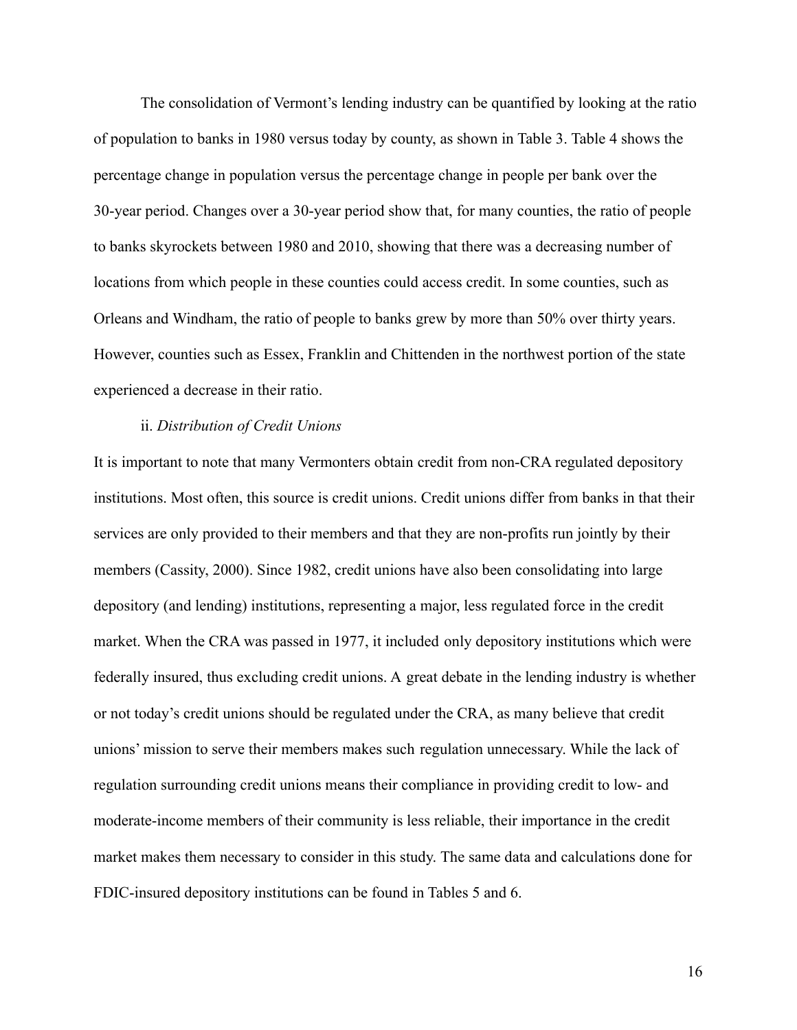The consolidation of Vermont's lending industry can be quantified by looking at the ratio of population to banks in 1980 versus today by county, as shown in Table 3. Table 4 shows the percentage change in population versus the percentage change in people per bank over the 30-year period. Changes over a 30-year period show that, for many counties, the ratio of people to banks skyrockets between 1980 and 2010, showing that there was a decreasing number of locations from which people in these counties could access credit. In some counties, such as Orleans and Windham, the ratio of people to banks grew by more than 50% over thirty years. However, counties such as Essex, Franklin and Chittenden in the northwest portion of the state experienced a decrease in their ratio.

#### ii. *Distribution of Credit Unions*

It is important to note that many Vermonters obtain credit from non-CRA regulated depository institutions. Most often, this source is credit unions. Credit unions differ from banks in that their services are only provided to their members and that they are non-profits run jointly by their members (Cassity, 2000). Since 1982, credit unions have also been consolidating into large depository (and lending) institutions, representing a major, less regulated force in the credit market. When the CRA was passed in 1977, it included only depository institutions which were federally insured, thus excluding credit unions. A great debate in the lending industry is whether or not today's credit unions should be regulated under the CRA, as many believe that credit unions' mission to serve their members makes such regulation unnecessary. While the lack of regulation surrounding credit unions means their compliance in providing credit to low- and moderate-income members of their community is less reliable, their importance in the credit market makes them necessary to consider in this study. The same data and calculations done for FDIC-insured depository institutions can be found in Tables 5 and 6.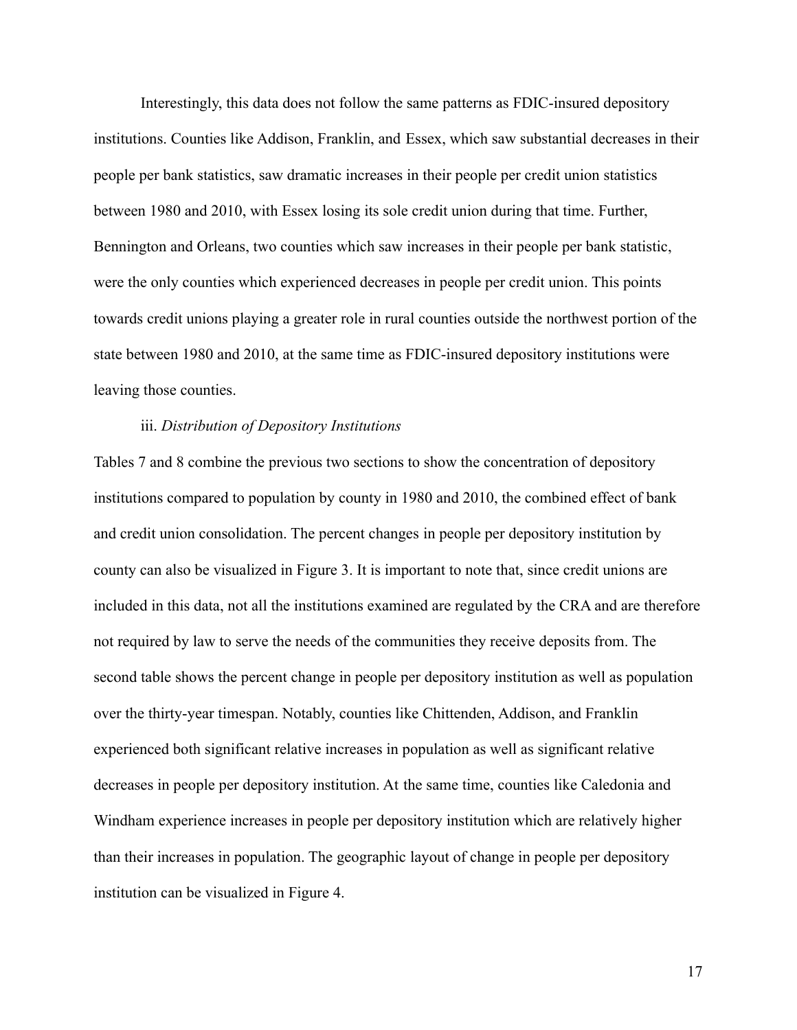Interestingly, this data does not follow the same patterns as FDIC-insured depository institutions. Counties like Addison, Franklin, and Essex, which saw substantial decreases in their people per bank statistics, saw dramatic increases in their people per credit union statistics between 1980 and 2010, with Essex losing its sole credit union during that time. Further, Bennington and Orleans, two counties which saw increases in their people per bank statistic, were the only counties which experienced decreases in people per credit union. This points towards credit unions playing a greater role in rural counties outside the northwest portion of the state between 1980 and 2010, at the same time as FDIC-insured depository institutions were leaving those counties.

#### iii. *Distribution of Depository Institutions*

Tables 7 and 8 combine the previous two sections to show the concentration of depository institutions compared to population by county in 1980 and 2010, the combined effect of bank and credit union consolidation. The percent changes in people per depository institution by county can also be visualized in Figure 3. It is important to note that, since credit unions are included in this data, not all the institutions examined are regulated by the CRA and are therefore not required by law to serve the needs of the communities they receive deposits from. The second table shows the percent change in people per depository institution as well as population over the thirty-year timespan. Notably, counties like Chittenden, Addison, and Franklin experienced both significant relative increases in population as well as significant relative decreases in people per depository institution. At the same time, counties like Caledonia and Windham experience increases in people per depository institution which are relatively higher than their increases in population. The geographic layout of change in people per depository institution can be visualized in Figure 4.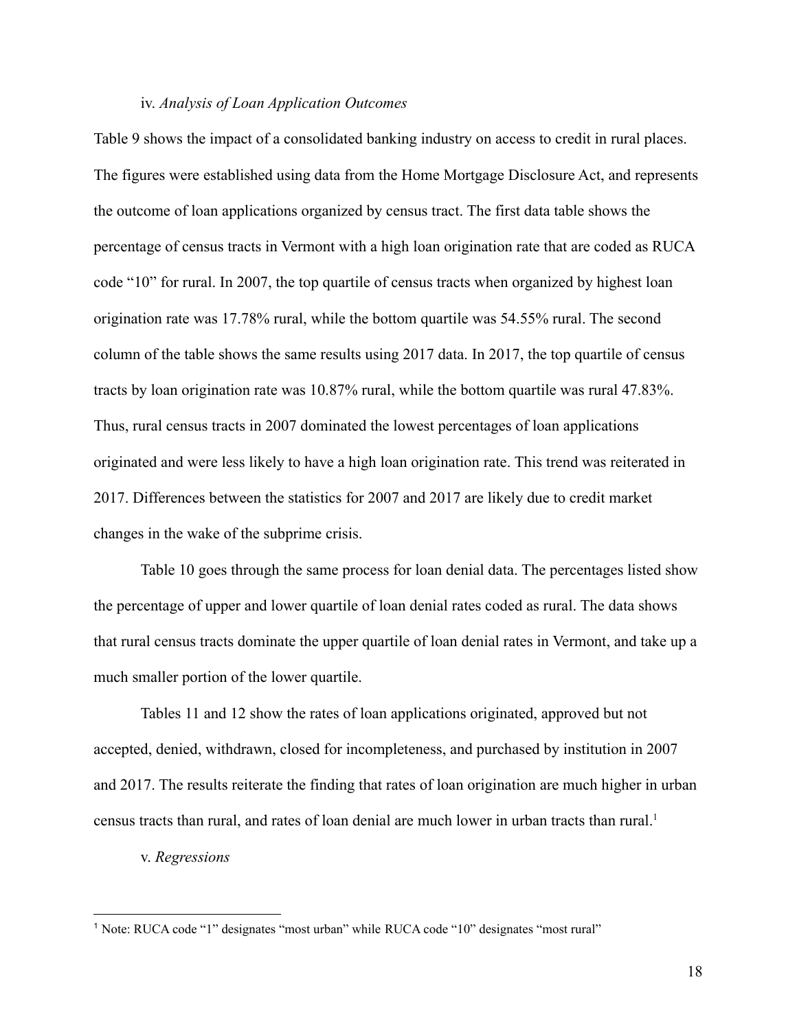#### iv. *Analysis of Loan Application Outcomes*

Table 9 shows the impact of a consolidated banking industry on access to credit in rural places. The figures were established using data from the Home Mortgage Disclosure Act, and represents the outcome of loan applications organized by census tract. The first data table shows the percentage of census tracts in Vermont with a high loan origination rate that are coded as RUCA code "10" for rural. In 2007, the top quartile of census tracts when organized by highest loan origination rate was 17.78% rural, while the bottom quartile was 54.55% rural. The second column of the table shows the same results using 2017 data. In 2017, the top quartile of census tracts by loan origination rate was 10.87% rural, while the bottom quartile was rural 47.83%. Thus, rural census tracts in 2007 dominated the lowest percentages of loan applications originated and were less likely to have a high loan origination rate. This trend was reiterated in 2017. Differences between the statistics for 2007 and 2017 are likely due to credit market changes in the wake of the subprime crisis.

Table 10 goes through the same process for loan denial data. The percentages listed show the percentage of upper and lower quartile of loan denial rates coded as rural. The data shows that rural census tracts dominate the upper quartile of loan denial rates in Vermont, and take up a much smaller portion of the lower quartile.

Tables 11 and 12 show the rates of loan applications originated, approved but not accepted, denied, withdrawn, closed for incompleteness, and purchased by institution in 2007 and 2017. The results reiterate the finding that rates of loan origination are much higher in urban census tracts than rural, and rates of loan denial are much lower in urban tracts than rural.<sup>1</sup>

v. *Regressions*

<sup>1</sup> Note: RUCA code "1" designates "most urban" while RUCA code "10" designates "most rural"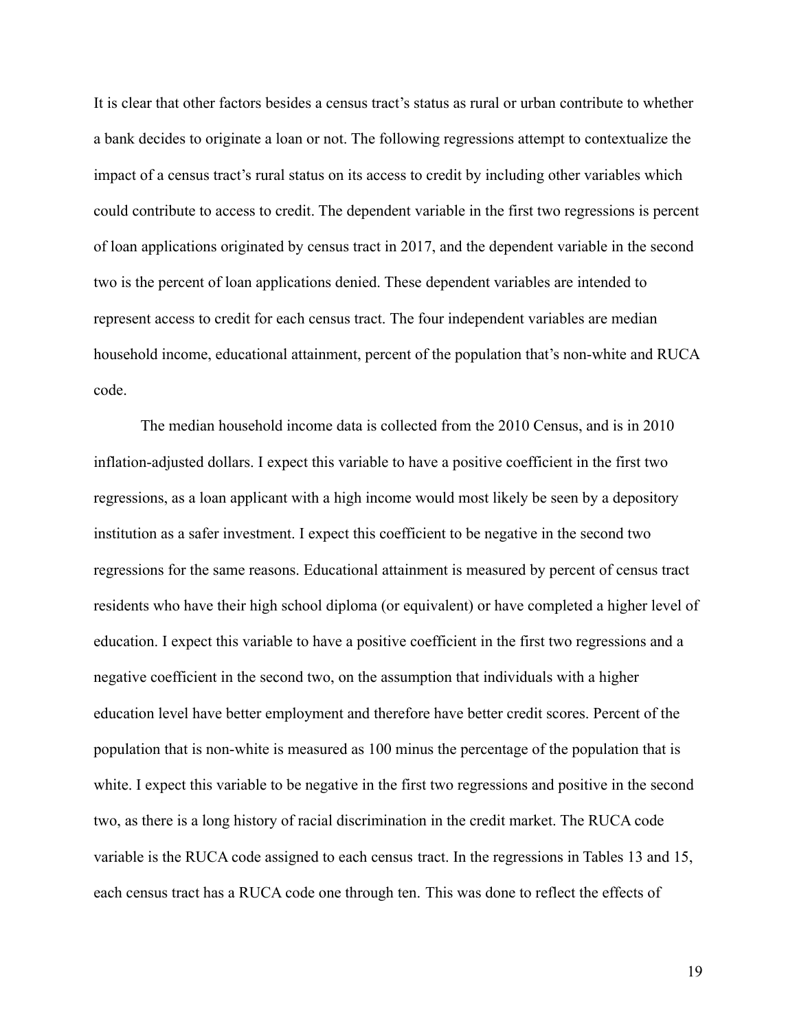It is clear that other factors besides a census tract's status as rural or urban contribute to whether a bank decides to originate a loan or not. The following regressions attempt to contextualize the impact of a census tract's rural status on its access to credit by including other variables which could contribute to access to credit. The dependent variable in the first two regressions is percent of loan applications originated by census tract in 2017, and the dependent variable in the second two is the percent of loan applications denied. These dependent variables are intended to represent access to credit for each census tract. The four independent variables are median household income, educational attainment, percent of the population that's non-white and RUCA code.

The median household income data is collected from the 2010 Census, and is in 2010 inflation-adjusted dollars. I expect this variable to have a positive coefficient in the first two regressions, as a loan applicant with a high income would most likely be seen by a depository institution as a safer investment. I expect this coefficient to be negative in the second two regressions for the same reasons. Educational attainment is measured by percent of census tract residents who have their high school diploma (or equivalent) or have completed a higher level of education. I expect this variable to have a positive coefficient in the first two regressions and a negative coefficient in the second two, on the assumption that individuals with a higher education level have better employment and therefore have better credit scores. Percent of the population that is non-white is measured as 100 minus the percentage of the population that is white. I expect this variable to be negative in the first two regressions and positive in the second two, as there is a long history of racial discrimination in the credit market. The RUCA code variable is the RUCA code assigned to each census tract. In the regressions in Tables 13 and 15, each census tract has a RUCA code one through ten. This was done to reflect the effects of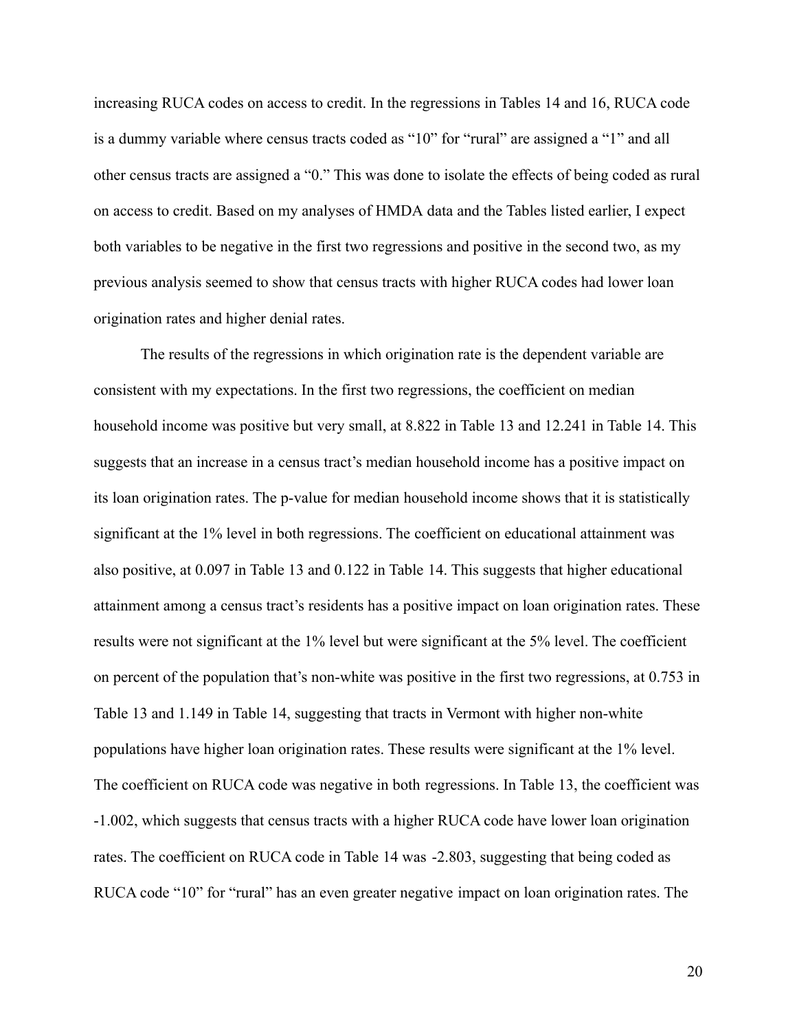increasing RUCA codes on access to credit. In the regressions in Tables 14 and 16, RUCA code is a dummy variable where census tracts coded as "10" for "rural" are assigned a "1" and all other census tracts are assigned a "0." This was done to isolate the effects of being coded as rural on access to credit. Based on my analyses of HMDA data and the Tables listed earlier, I expect both variables to be negative in the first two regressions and positive in the second two, as my previous analysis seemed to show that census tracts with higher RUCA codes had lower loan origination rates and higher denial rates.

The results of the regressions in which origination rate is the dependent variable are consistent with my expectations. In the first two regressions, the coefficient on median household income was positive but very small, at 8.822 in Table 13 and 12.241 in Table 14. This suggests that an increase in a census tract's median household income has a positive impact on its loan origination rates. The p-value for median household income shows that it is statistically significant at the 1% level in both regressions. The coefficient on educational attainment was also positive, at 0.097 in Table 13 and 0.122 in Table 14. This suggests that higher educational attainment among a census tract's residents has a positive impact on loan origination rates. These results were not significant at the 1% level but were significant at the 5% level. The coefficient on percent of the population that's non-white was positive in the first two regressions, at 0.753 in Table 13 and 1.149 in Table 14, suggesting that tracts in Vermont with higher non-white populations have higher loan origination rates. These results were significant at the 1% level. The coefficient on RUCA code was negative in both regressions. In Table 13, the coefficient was -1.002, which suggests that census tracts with a higher RUCA code have lower loan origination rates. The coefficient on RUCA code in Table 14 was -2.803, suggesting that being coded as RUCA code "10" for "rural" has an even greater negative impact on loan origination rates. The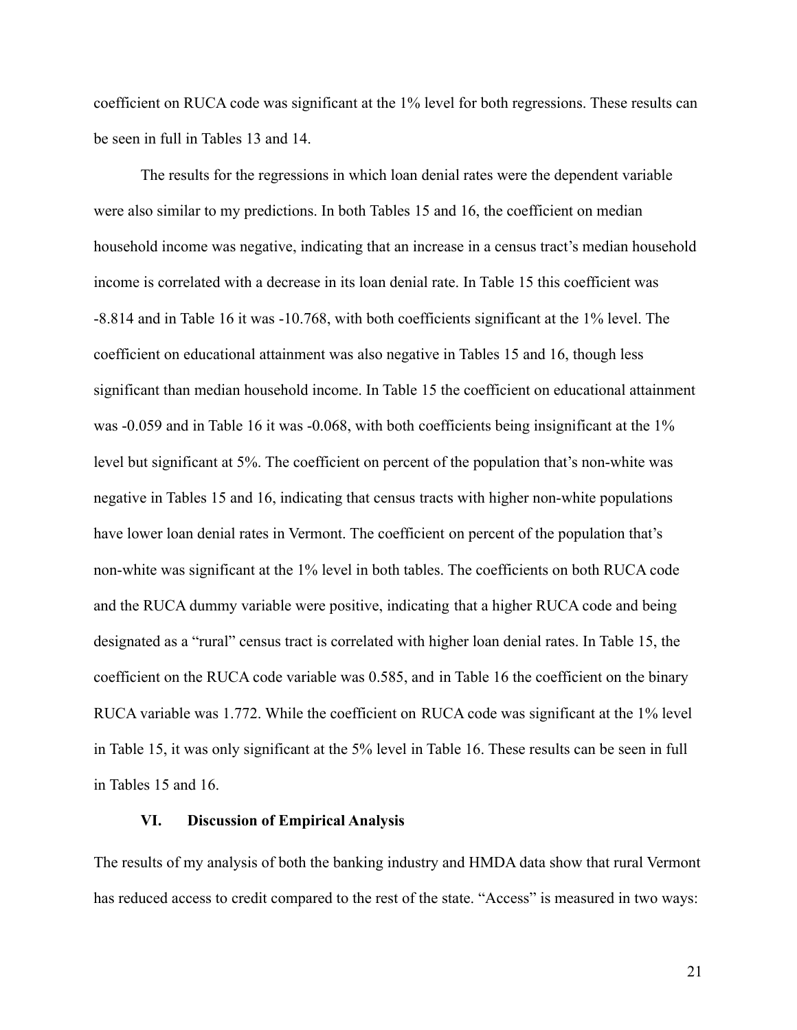coefficient on RUCA code was significant at the 1% level for both regressions. These results can be seen in full in Tables 13 and 14.

The results for the regressions in which loan denial rates were the dependent variable were also similar to my predictions. In both Tables 15 and 16, the coefficient on median household income was negative, indicating that an increase in a census tract's median household income is correlated with a decrease in its loan denial rate. In Table 15 this coefficient was -8.814 and in Table 16 it was -10.768, with both coefficients significant at the 1% level. The coefficient on educational attainment was also negative in Tables 15 and 16, though less significant than median household income. In Table 15 the coefficient on educational attainment was -0.059 and in Table 16 it was -0.068, with both coefficients being insignificant at the 1% level but significant at 5%. The coefficient on percent of the population that's non-white was negative in Tables 15 and 16, indicating that census tracts with higher non-white populations have lower loan denial rates in Vermont. The coefficient on percent of the population that's non-white was significant at the 1% level in both tables. The coefficients on both RUCA code and the RUCA dummy variable were positive, indicating that a higher RUCA code and being designated as a "rural" census tract is correlated with higher loan denial rates. In Table 15, the coefficient on the RUCA code variable was 0.585, and in Table 16 the coefficient on the binary RUCA variable was 1.772. While the coefficient on RUCA code was significant at the 1% level in Table 15, it was only significant at the 5% level in Table 16. These results can be seen in full in Tables 15 and 16.

#### **VI. Discussion of Empirical Analysis**

The results of my analysis of both the banking industry and HMDA data show that rural Vermont has reduced access to credit compared to the rest of the state. "Access" is measured in two ways: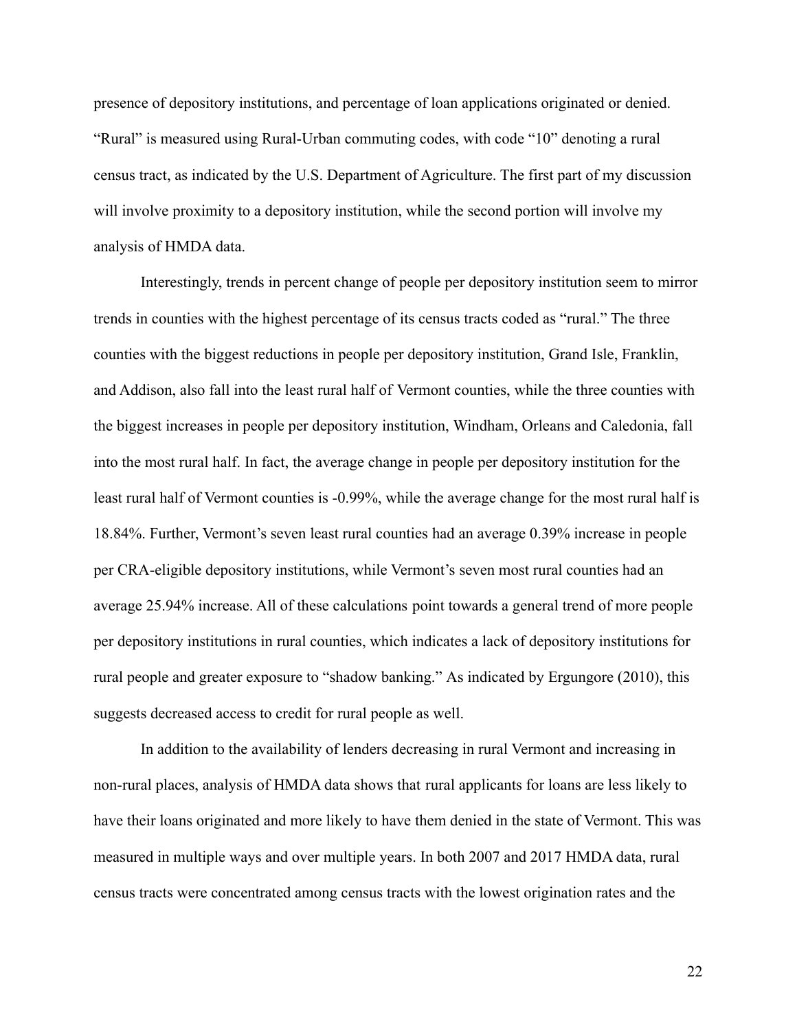presence of depository institutions, and percentage of loan applications originated or denied. "Rural" is measured using Rural-Urban commuting codes, with code "10" denoting a rural census tract, as indicated by the U.S. Department of Agriculture. The first part of my discussion will involve proximity to a depository institution, while the second portion will involve my analysis of HMDA data.

Interestingly, trends in percent change of people per depository institution seem to mirror trends in counties with the highest percentage of its census tracts coded as "rural." The three counties with the biggest reductions in people per depository institution, Grand Isle, Franklin, and Addison, also fall into the least rural half of Vermont counties, while the three counties with the biggest increases in people per depository institution, Windham, Orleans and Caledonia, fall into the most rural half. In fact, the average change in people per depository institution for the least rural half of Vermont counties is -0.99%, while the average change for the most rural half is 18.84%. Further, Vermont's seven least rural counties had an average 0.39% increase in people per CRA-eligible depository institutions, while Vermont's seven most rural counties had an average 25.94% increase. All of these calculations point towards a general trend of more people per depository institutions in rural counties, which indicates a lack of depository institutions for rural people and greater exposure to "shadow banking." As indicated by Ergungore (2010), this suggests decreased access to credit for rural people as well.

In addition to the availability of lenders decreasing in rural Vermont and increasing in non-rural places, analysis of HMDA data shows that rural applicants for loans are less likely to have their loans originated and more likely to have them denied in the state of Vermont. This was measured in multiple ways and over multiple years. In both 2007 and 2017 HMDA data, rural census tracts were concentrated among census tracts with the lowest origination rates and the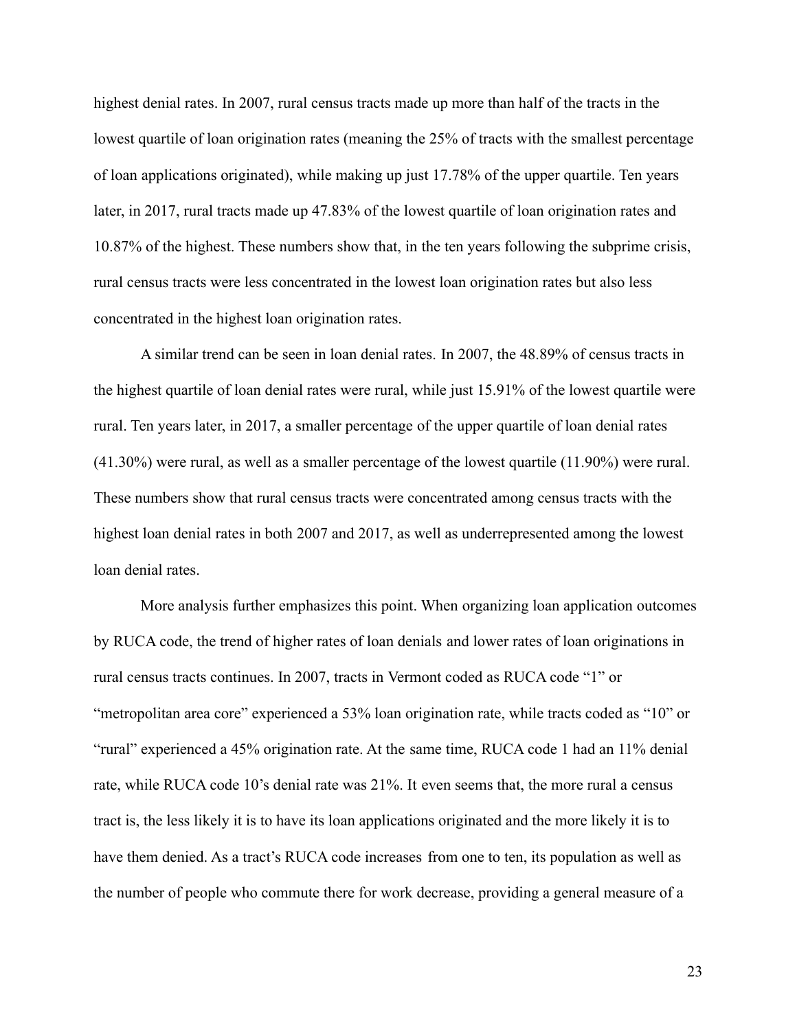highest denial rates. In 2007, rural census tracts made up more than half of the tracts in the lowest quartile of loan origination rates (meaning the 25% of tracts with the smallest percentage of loan applications originated), while making up just 17.78% of the upper quartile. Ten years later, in 2017, rural tracts made up 47.83% of the lowest quartile of loan origination rates and 10.87% of the highest. These numbers show that, in the ten years following the subprime crisis, rural census tracts were less concentrated in the lowest loan origination rates but also less concentrated in the highest loan origination rates.

A similar trend can be seen in loan denial rates. In 2007, the 48.89% of census tracts in the highest quartile of loan denial rates were rural, while just 15.91% of the lowest quartile were rural. Ten years later, in 2017, a smaller percentage of the upper quartile of loan denial rates (41.30%) were rural, as well as a smaller percentage of the lowest quartile (11.90%) were rural. These numbers show that rural census tracts were concentrated among census tracts with the highest loan denial rates in both 2007 and 2017, as well as underrepresented among the lowest loan denial rates.

More analysis further emphasizes this point. When organizing loan application outcomes by RUCA code, the trend of higher rates of loan denials and lower rates of loan originations in rural census tracts continues. In 2007, tracts in Vermont coded as RUCA code "1" or "metropolitan area core" experienced a 53% loan origination rate, while tracts coded as "10" or "rural" experienced a 45% origination rate. At the same time, RUCA code 1 had an 11% denial rate, while RUCA code 10's denial rate was 21%. It even seems that, the more rural a census tract is, the less likely it is to have its loan applications originated and the more likely it is to have them denied. As a tract's RUCA code increases from one to ten, its population as well as the number of people who commute there for work decrease, providing a general measure of a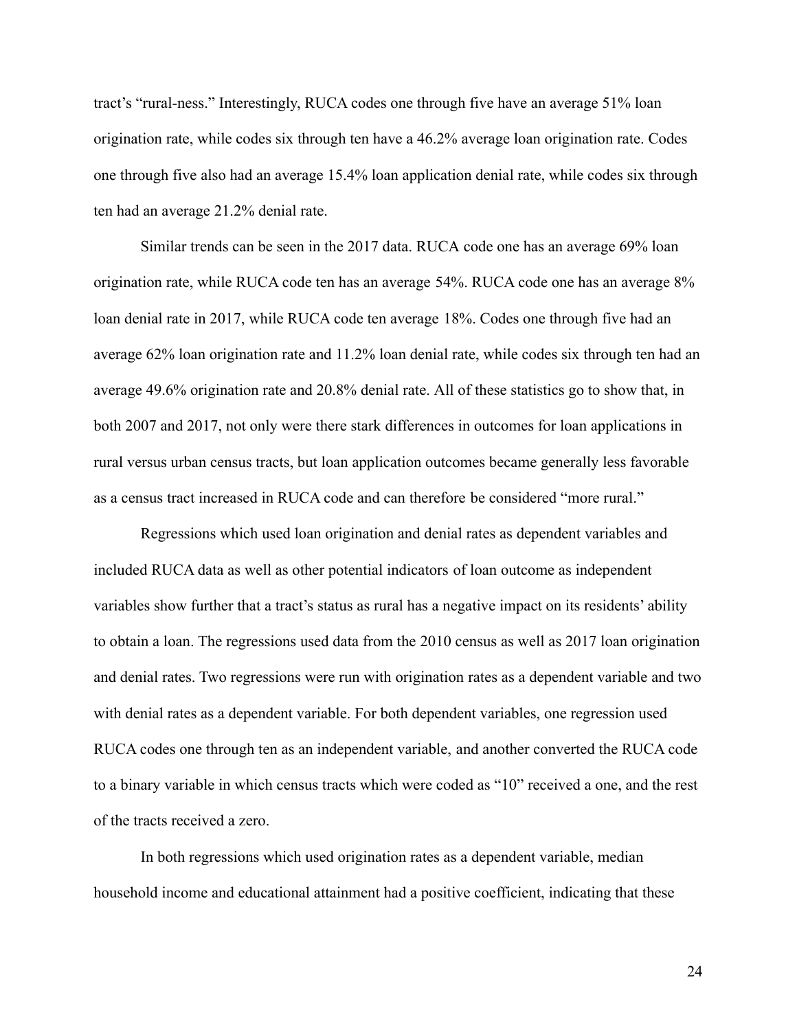tract's "rural-ness." Interestingly, RUCA codes one through five have an average 51% loan origination rate, while codes six through ten have a 46.2% average loan origination rate. Codes one through five also had an average 15.4% loan application denial rate, while codes six through ten had an average 21.2% denial rate.

Similar trends can be seen in the 2017 data. RUCA code one has an average 69% loan origination rate, while RUCA code ten has an average 54%. RUCA code one has an average 8% loan denial rate in 2017, while RUCA code ten average 18%. Codes one through five had an average 62% loan origination rate and 11.2% loan denial rate, while codes six through ten had an average 49.6% origination rate and 20.8% denial rate. All of these statistics go to show that, in both 2007 and 2017, not only were there stark differences in outcomes for loan applications in rural versus urban census tracts, but loan application outcomes became generally less favorable as a census tract increased in RUCA code and can therefore be considered "more rural."

Regressions which used loan origination and denial rates as dependent variables and included RUCA data as well as other potential indicators of loan outcome as independent variables show further that a tract's status as rural has a negative impact on its residents' ability to obtain a loan. The regressions used data from the 2010 census as well as 2017 loan origination and denial rates. Two regressions were run with origination rates as a dependent variable and two with denial rates as a dependent variable. For both dependent variables, one regression used RUCA codes one through ten as an independent variable, and another converted the RUCA code to a binary variable in which census tracts which were coded as "10" received a one, and the rest of the tracts received a zero.

In both regressions which used origination rates as a dependent variable, median household income and educational attainment had a positive coefficient, indicating that these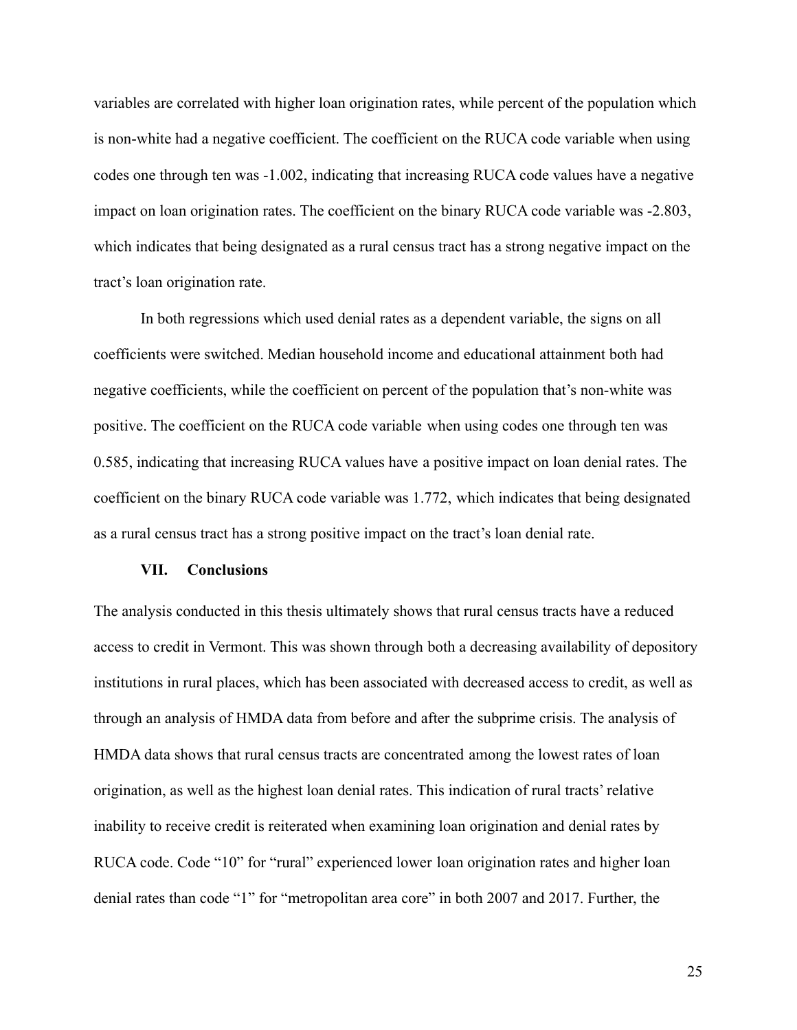variables are correlated with higher loan origination rates, while percent of the population which is non-white had a negative coefficient. The coefficient on the RUCA code variable when using codes one through ten was -1.002, indicating that increasing RUCA code values have a negative impact on loan origination rates. The coefficient on the binary RUCA code variable was -2.803, which indicates that being designated as a rural census tract has a strong negative impact on the tract's loan origination rate.

In both regressions which used denial rates as a dependent variable, the signs on all coefficients were switched. Median household income and educational attainment both had negative coefficients, while the coefficient on percent of the population that's non-white was positive. The coefficient on the RUCA code variable when using codes one through ten was 0.585, indicating that increasing RUCA values have a positive impact on loan denial rates. The coefficient on the binary RUCA code variable was 1.772, which indicates that being designated as a rural census tract has a strong positive impact on the tract's loan denial rate.

#### **VII. Conclusions**

The analysis conducted in this thesis ultimately shows that rural census tracts have a reduced access to credit in Vermont. This was shown through both a decreasing availability of depository institutions in rural places, which has been associated with decreased access to credit, as well as through an analysis of HMDA data from before and after the subprime crisis. The analysis of HMDA data shows that rural census tracts are concentrated among the lowest rates of loan origination, as well as the highest loan denial rates. This indication of rural tracts' relative inability to receive credit is reiterated when examining loan origination and denial rates by RUCA code. Code "10" for "rural" experienced lower loan origination rates and higher loan denial rates than code "1" for "metropolitan area core" in both 2007 and 2017. Further, the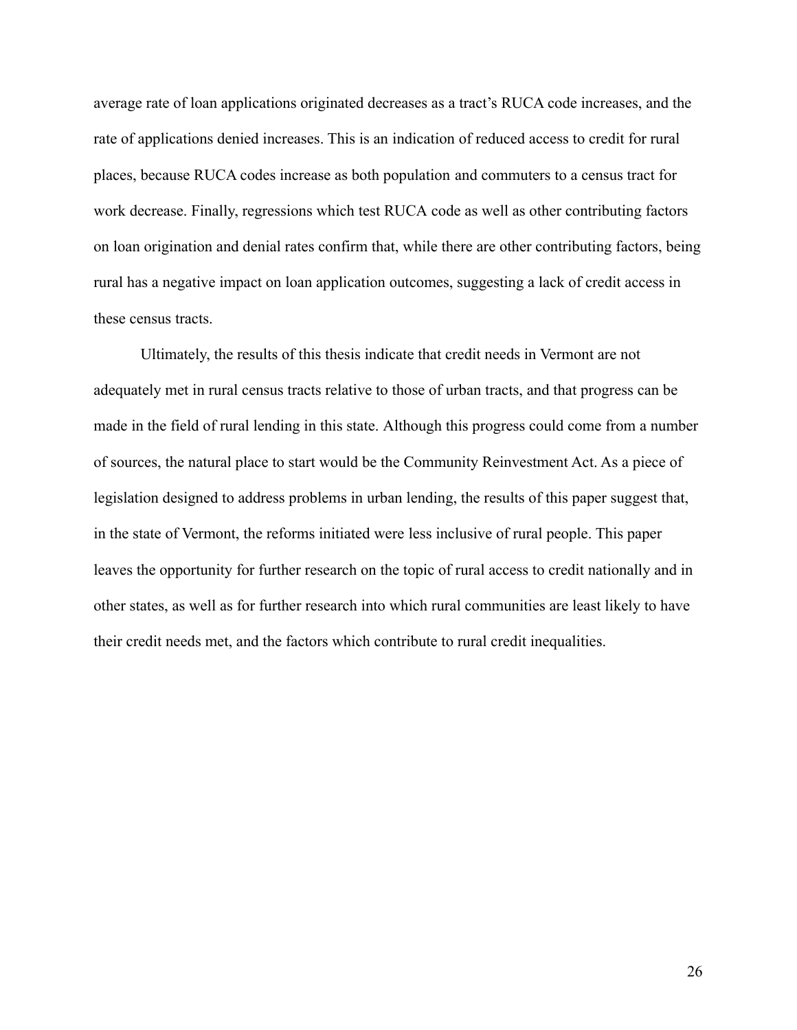average rate of loan applications originated decreases as a tract's RUCA code increases, and the rate of applications denied increases. This is an indication of reduced access to credit for rural places, because RUCA codes increase as both population and commuters to a census tract for work decrease. Finally, regressions which test RUCA code as well as other contributing factors on loan origination and denial rates confirm that, while there are other contributing factors, being rural has a negative impact on loan application outcomes, suggesting a lack of credit access in these census tracts.

Ultimately, the results of this thesis indicate that credit needs in Vermont are not adequately met in rural census tracts relative to those of urban tracts, and that progress can be made in the field of rural lending in this state. Although this progress could come from a number of sources, the natural place to start would be the Community Reinvestment Act. As a piece of legislation designed to address problems in urban lending, the results of this paper suggest that, in the state of Vermont, the reforms initiated were less inclusive of rural people. This paper leaves the opportunity for further research on the topic of rural access to credit nationally and in other states, as well as for further research into which rural communities are least likely to have their credit needs met, and the factors which contribute to rural credit inequalities.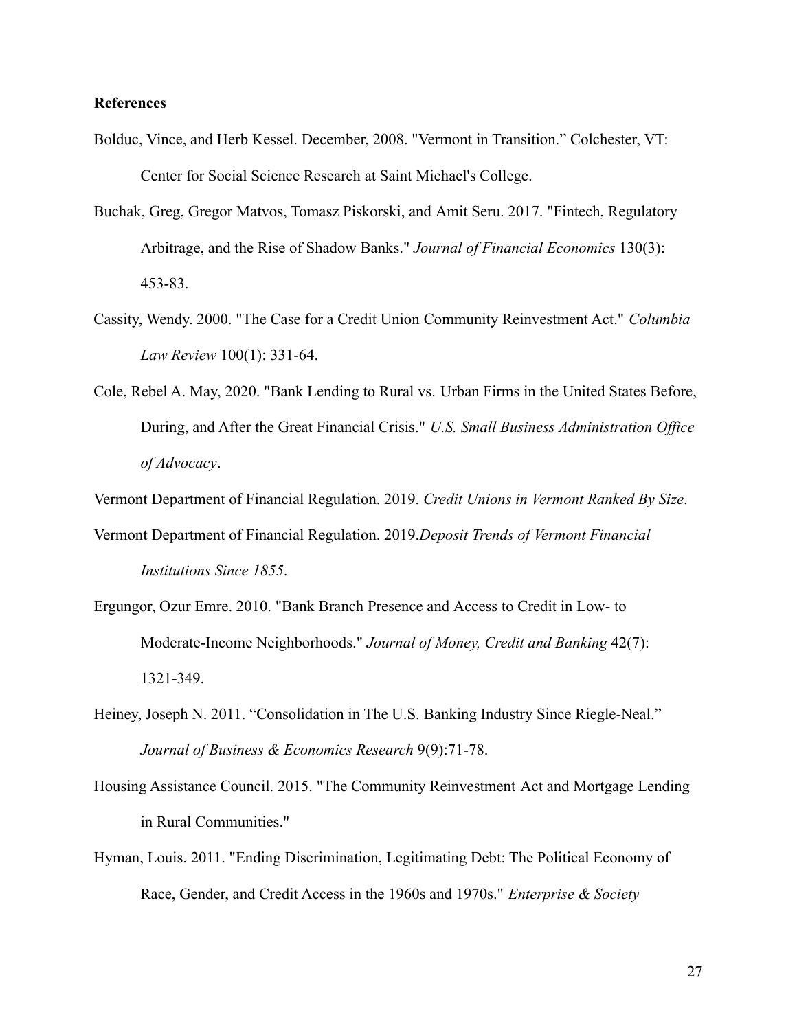#### **References**

- Bolduc, Vince, and Herb Kessel. December, 2008. "Vermont in Transition." Colchester, VT: Center for Social Science Research at Saint Michael's College.
- Buchak, Greg, Gregor Matvos, Tomasz Piskorski, and Amit Seru. 2017. "Fintech, Regulatory Arbitrage, and the Rise of Shadow Banks." *Journal of Financial Economics* 130(3): 453-83.
- Cassity, Wendy. 2000. "The Case for a Credit Union Community Reinvestment Act." *Columbia Law Review* 100(1): 331-64.
- Cole, Rebel A. May, 2020. "Bank Lending to Rural vs. Urban Firms in the United States Before, During, and After the Great Financial Crisis." *U.S. Small Business Administration Office of Advocacy*.

Vermont Department of Financial Regulation. 2019. *Credit Unions in Vermont Ranked By Size*.

- Vermont Department of Financial Regulation. 2019.*Deposit Trends of Vermont Financial Institutions Since 1855*.
- Ergungor, Ozur Emre. 2010. "Bank Branch Presence and Access to Credit in Low- to Moderate-Income Neighborhoods." *Journal of Money, Credit and Banking* 42(7): 1321-349.
- Heiney, Joseph N. 2011. "Consolidation in The U.S. Banking Industry Since Riegle-Neal." *Journal of Business & Economics Research* 9(9):71-78.
- Housing Assistance Council. 2015. "The Community Reinvestment Act and Mortgage Lending in Rural Communities."
- Hyman, Louis. 2011. "Ending Discrimination, Legitimating Debt: The Political Economy of Race, Gender, and Credit Access in the 1960s and 1970s." *Enterprise & Society*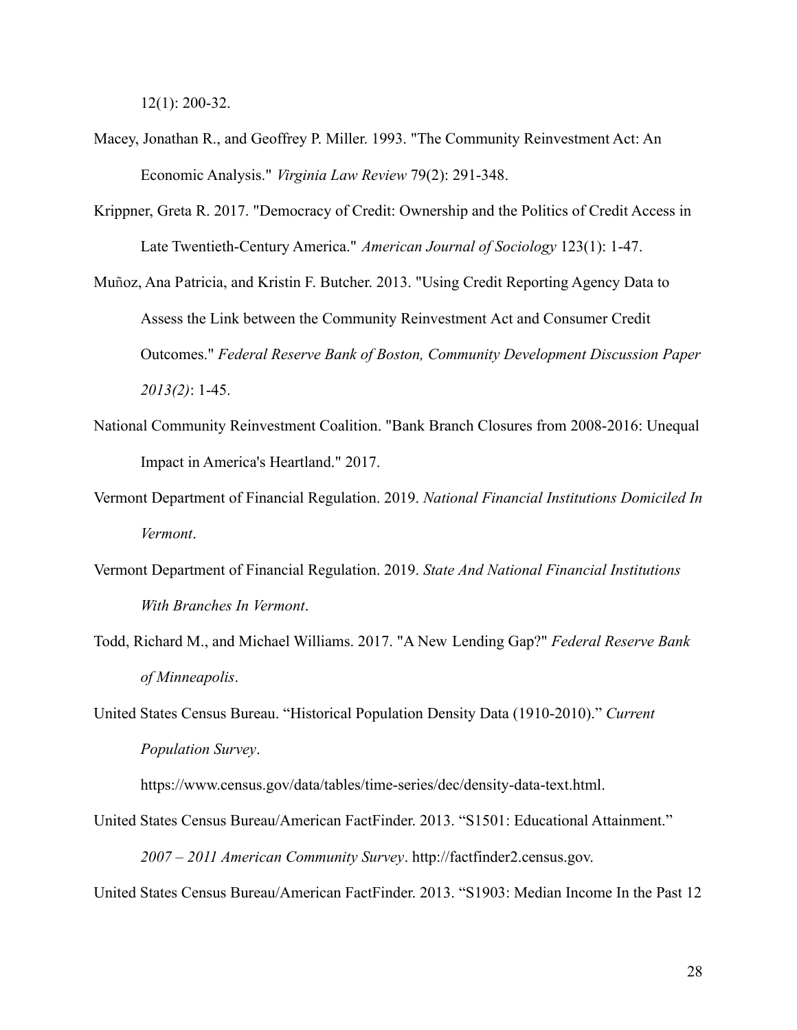12(1): 200-32.

- Macey, Jonathan R., and Geoffrey P. Miller. 1993. "The Community Reinvestment Act: An Economic Analysis." *Virginia Law Review* 79(2): 291-348.
- Krippner, Greta R. 2017. "Democracy of Credit: Ownership and the Politics of Credit Access in Late Twentieth-Century America." *American Journal of Sociology* 123(1): 1-47.
- Muñoz, Ana Patricia, and Kristin F. Butcher. 2013. "Using Credit Reporting Agency Data to Assess the Link between the Community Reinvestment Act and Consumer Credit Outcomes." *Federal Reserve Bank of Boston, Community Development Discussion Paper 2013(2)*: 1-45.
- National Community Reinvestment Coalition. "Bank Branch Closures from 2008-2016: Unequal Impact in America's Heartland." 2017.
- Vermont Department of Financial Regulation. 2019. *National Financial Institutions Domiciled In Vermont*.
- Vermont Department of Financial Regulation. 2019. *State And National Financial Institutions With Branches In Vermont*.
- Todd, Richard M., and Michael Williams. 2017. "A New Lending Gap?" *Federal Reserve Bank of Minneapolis*.
- United States Census Bureau. "Historical Population Density Data (1910-2010)." *Current Population Survey*.

https://www.census.gov/data/tables/time-series/dec/density-data-text.html.

- United States Census Bureau/American FactFinder. 2013. "S1501: Educational Attainment." *2007 – 2011 American Community Survey*. http://factfinder2.census.gov.
- United States Census Bureau/American FactFinder. 2013. "S1903: Median Income In the Past 12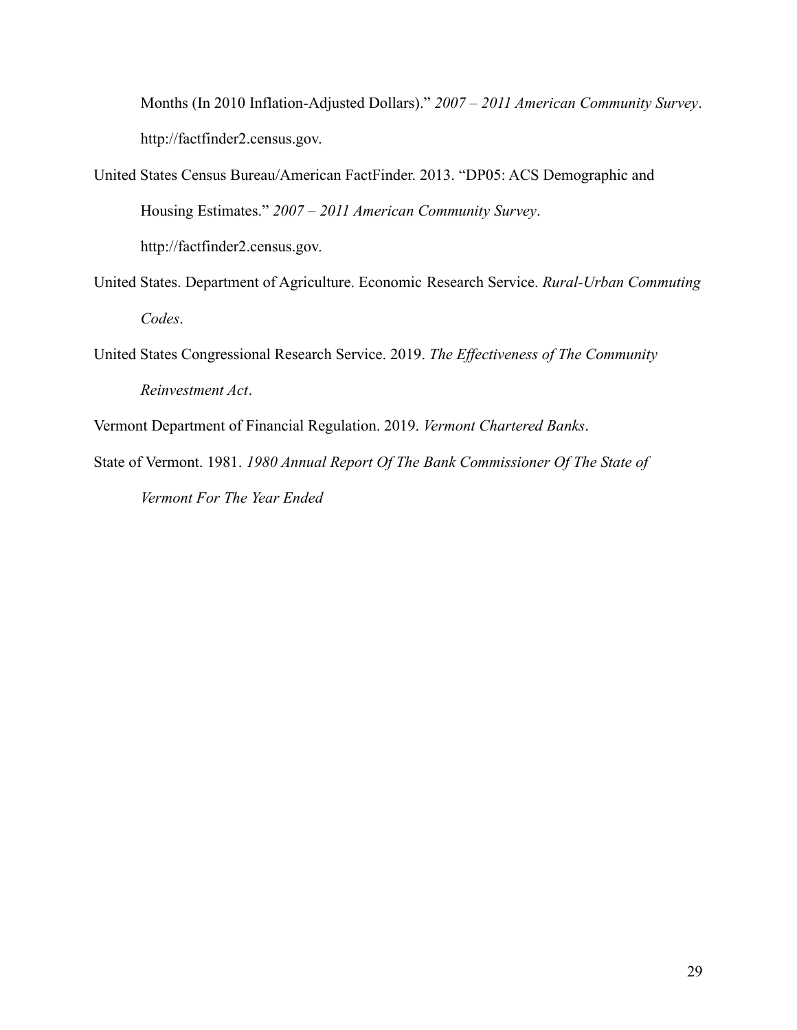Months (In 2010 Inflation-Adjusted Dollars)." *2007 – 2011 American Community Survey*. http://factfinder2.census.gov.

- United States Census Bureau/American FactFinder. 2013. "DP05: ACS Demographic and Housing Estimates." *2007 – 2011 American Community Survey*. http://factfinder2.census.gov.
- United States. Department of Agriculture. Economic Research Service. *Rural-Urban Commuting Codes*.
- United States Congressional Research Service. 2019. *The Effectiveness of The Community Reinvestment Act*.

Vermont Department of Financial Regulation. 2019. *Vermont Chartered Banks*.

State of Vermont. 1981. *1980 Annual Report Of The Bank Commissioner Of The State of Vermont For The Year Ended*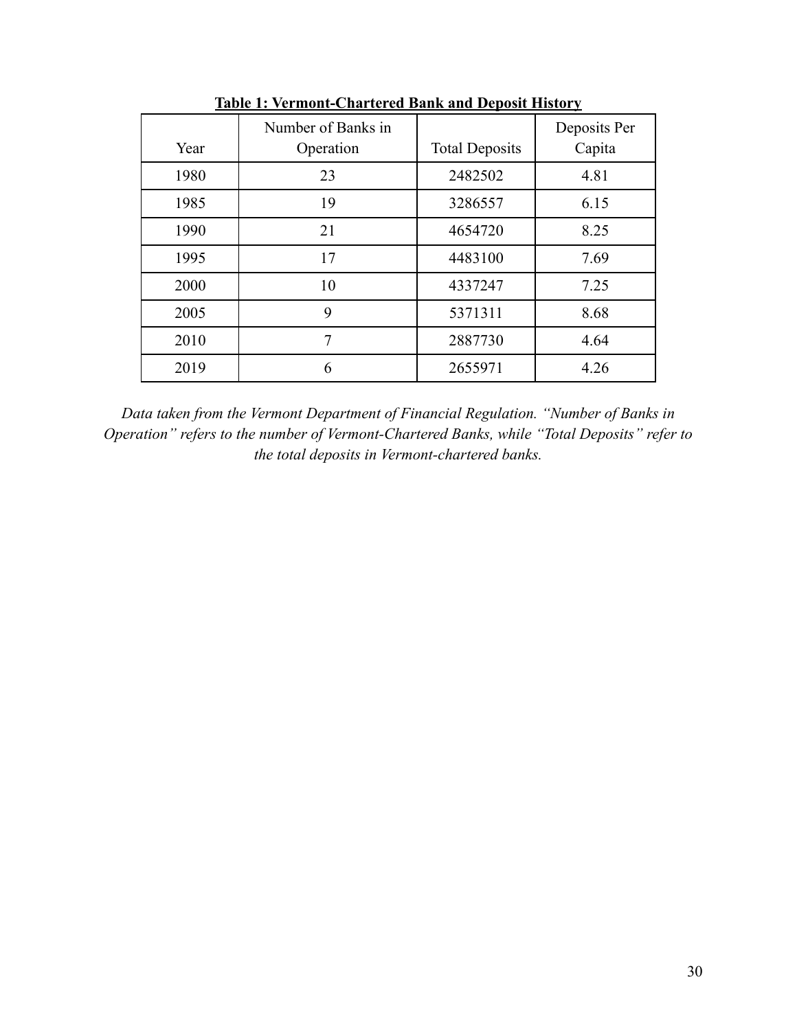|      | Number of Banks in |                       | Deposits Per |
|------|--------------------|-----------------------|--------------|
| Year | Operation          | <b>Total Deposits</b> | Capita       |
| 1980 | 23                 | 2482502               | 4.81         |
| 1985 | 19                 | 3286557               | 6.15         |
| 1990 | 21                 | 4654720               | 8.25         |
| 1995 | 17                 | 4483100               | 7.69         |
| 2000 | 10                 | 4337247               | 7.25         |
| 2005 | 9                  | 5371311               | 8.68         |
| 2010 | 7                  | 2887730               | 4.64         |
| 2019 | 6                  | 2655971               | 4.26         |

**Table 1: Vermont-Chartered Bank and Deposit History**

*Data taken from the Vermont Department of Financial Regulation. "Number of Banks in Operation" refers to the number of Vermont-Chartered Banks, while "Total Deposits" refer to the total deposits in Vermont-chartered banks.*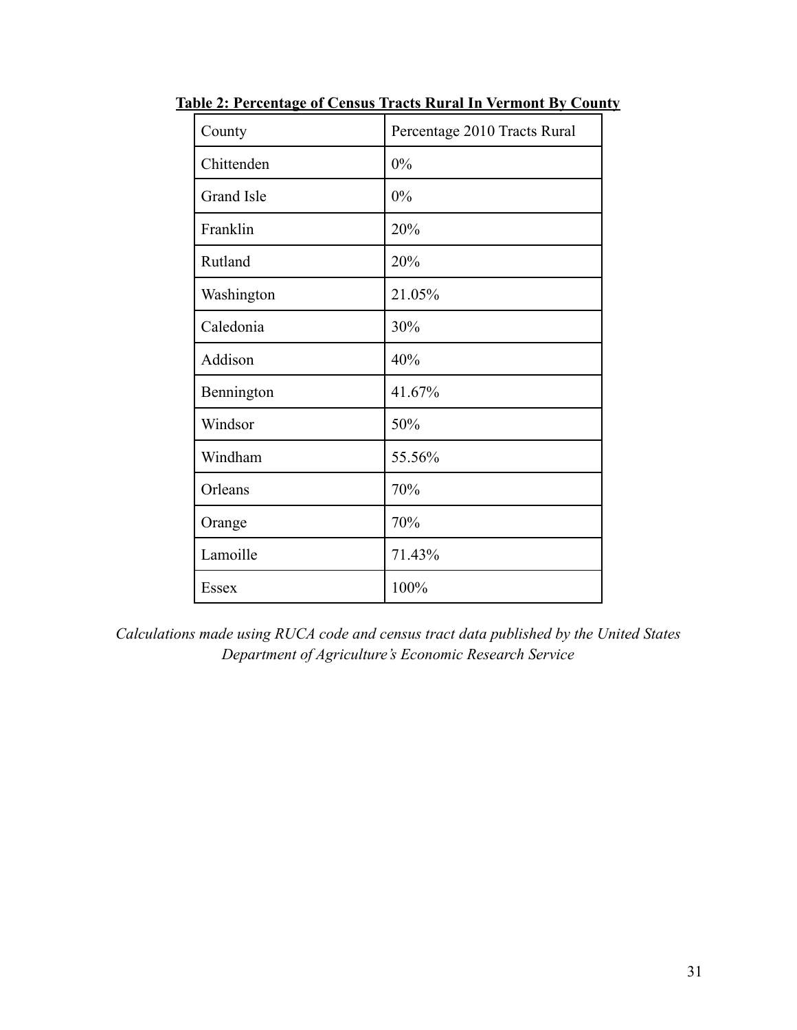| County            | Percentage 2010 Tracts Rural |
|-------------------|------------------------------|
| Chittenden        | 0%                           |
| <b>Grand Isle</b> | 0%                           |
| Franklin          | 20%                          |
| Rutland           | 20%                          |
| Washington        | 21.05%                       |
| Caledonia         | 30%                          |
| Addison           | 40%                          |
| Bennington        | 41.67%                       |
| Windsor           | 50%                          |
| Windham           | 55.56%                       |
| Orleans           | 70%                          |
| Orange            | 70%                          |
| Lamoille          | 71.43%                       |
| <b>Essex</b>      | 100%                         |

**Table 2: Percentage of Census Tracts Rural In Vermont By County**

*Calculations made using RUCA code and census tract data published by the United States Department of Agriculture's Economic Research Service*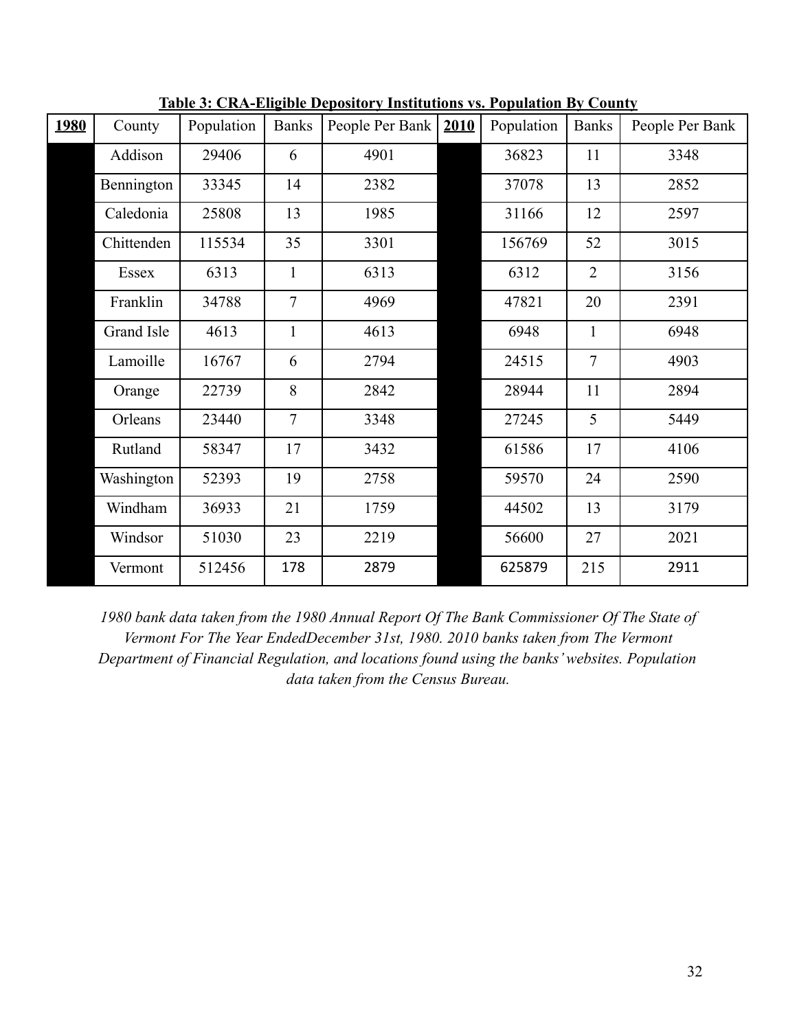| <b>1980</b> | County     | Population | <b>Banks</b>   | People Per Bank | 2010 | Population | <b>Banks</b>   | People Per Bank |
|-------------|------------|------------|----------------|-----------------|------|------------|----------------|-----------------|
|             | Addison    | 29406      | 6              | 4901            |      | 36823      | 11             | 3348            |
|             | Bennington | 33345      | 14             | 2382            |      | 37078      | 13             | 2852            |
|             | Caledonia  | 25808      | 13             | 1985            |      | 31166      | 12             | 2597            |
|             | Chittenden | 115534     | 35             | 3301            |      | 156769     | 52             | 3015            |
|             | Essex      | 6313       | 1              | 6313            |      | 6312       | $\overline{2}$ | 3156            |
|             | Franklin   | 34788      | $\overline{7}$ | 4969            |      | 47821      | 20             | 2391            |
|             | Grand Isle | 4613       | 1              | 4613            |      | 6948       | $\mathbf{1}$   | 6948            |
|             | Lamoille   | 16767      | 6              | 2794            |      | 24515      | 7              | 4903            |
|             | Orange     | 22739      | 8              | 2842            |      | 28944      | 11             | 2894            |
|             | Orleans    | 23440      | $\overline{7}$ | 3348            |      | 27245      | 5              | 5449            |
|             | Rutland    | 58347      | 17             | 3432            |      | 61586      | 17             | 4106            |
|             | Washington | 52393      | 19             | 2758            |      | 59570      | 24             | 2590            |
|             | Windham    | 36933      | 21             | 1759            |      | 44502      | 13             | 3179            |
|             | Windsor    | 51030      | 23             | 2219            |      | 56600      | 27             | 2021            |
|             | Vermont    | 512456     | 178            | 2879            |      | 625879     | 215            | 2911            |

**Table 3: CRA-Eligible Depository Institutions vs. Population By County**

*1980 bank data taken from the 1980 Annual Report Of The Bank Commissioner Of The State of Vermont For The Year EndedDecember 31st, 1980. 2010 banks taken from The Vermont Department of Financial Regulation, and locations found using the banks' websites. Population data taken from the Census Bureau.*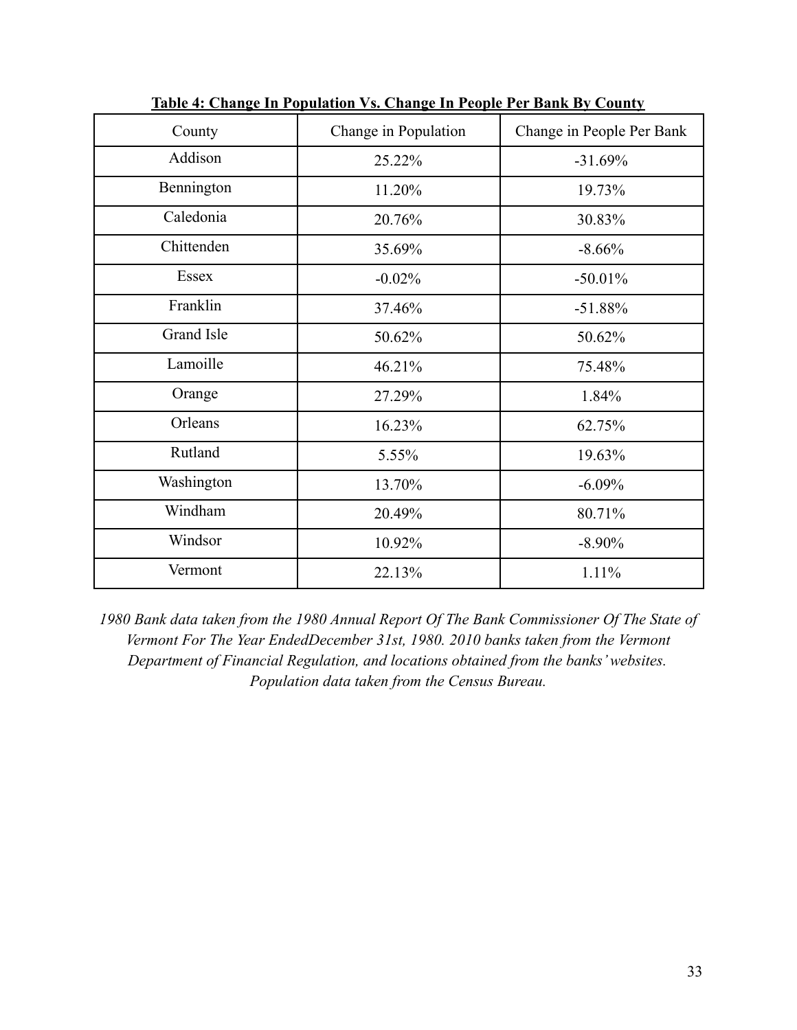| County       | Change in Population | Change in People Per Bank |
|--------------|----------------------|---------------------------|
| Addison      | 25.22%               | $-31.69%$                 |
| Bennington   | 11.20%               | 19.73%                    |
| Caledonia    | 20.76%               | 30.83%                    |
| Chittenden   | 35.69%               | $-8.66%$                  |
| <b>Essex</b> | $-0.02%$             | $-50.01%$                 |
| Franklin     | 37.46%               | $-51.88%$                 |
| Grand Isle   | 50.62%               | 50.62%                    |
| Lamoille     | 46.21%               | 75.48%                    |
| Orange       | 27.29%               | 1.84%                     |
| Orleans      | 16.23%               | 62.75%                    |
| Rutland      | 5.55%                | 19.63%                    |
| Washington   | 13.70%               | $-6.09%$                  |
| Windham      | 20.49%               | 80.71%                    |
| Windsor      | 10.92%               | $-8.90\%$                 |
| Vermont      | 22.13%               | 1.11%                     |

**Table 4: Change In Population Vs. Change In People Per Bank By County**

*1980 Bank data taken from the 1980 Annual Report Of The Bank Commissioner Of The State of Vermont For The Year EndedDecember 31st, 1980. 2010 banks taken from the Vermont Department of Financial Regulation, and locations obtained from the banks' websites. Population data taken from the Census Bureau.*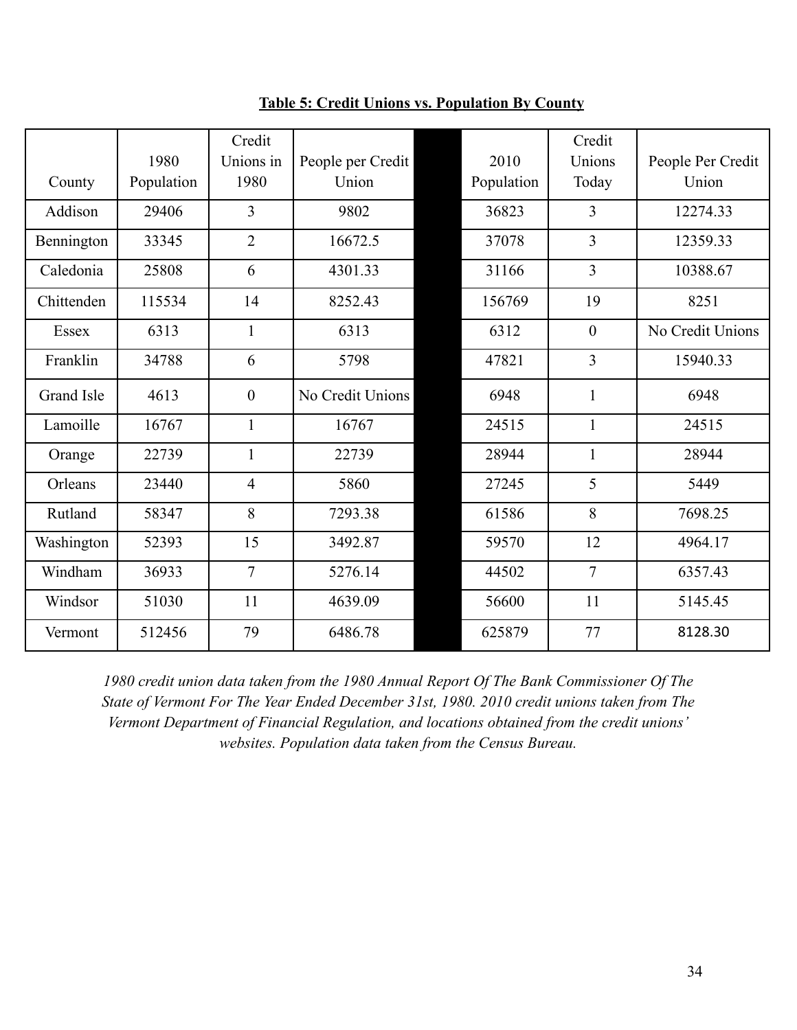|            |            | Credit         |                   |            | Credit         |                   |
|------------|------------|----------------|-------------------|------------|----------------|-------------------|
|            | 1980       | Unions in      | People per Credit | 2010       | Unions         | People Per Credit |
| County     | Population | 1980           | Union             | Population | Today          | Union             |
| Addison    | 29406      | $\overline{3}$ | 9802              | 36823      | $\overline{3}$ | 12274.33          |
| Bennington | 33345      | $\overline{2}$ | 16672.5           | 37078      | 3              | 12359.33          |
| Caledonia  | 25808      | 6              | 4301.33           | 31166      | $\overline{3}$ | 10388.67          |
| Chittenden | 115534     | 14             | 8252.43           | 156769     | 19             | 8251              |
| Essex      | 6313       | $\mathbf{1}$   | 6313              | 6312       | $\overline{0}$ | No Credit Unions  |
| Franklin   | 34788      | 6              | 5798              | 47821      | 3              | 15940.33          |
| Grand Isle | 4613       | $\mathbf{0}$   | No Credit Unions  | 6948       | $\mathbf{1}$   | 6948              |
| Lamoille   | 16767      | $\mathbf{1}$   | 16767             | 24515      | $\mathbf{1}$   | 24515             |
| Orange     | 22739      | $\mathbf{1}$   | 22739             | 28944      | $\mathbf{1}$   | 28944             |
| Orleans    | 23440      | $\overline{4}$ | 5860              | 27245      | 5              | 5449              |
| Rutland    | 58347      | 8              | 7293.38           | 61586      | 8              | 7698.25           |
| Washington | 52393      | 15             | 3492.87           | 59570      | 12             | 4964.17           |
| Windham    | 36933      | $\overline{7}$ | 5276.14           | 44502      | $\overline{7}$ | 6357.43           |
| Windsor    | 51030      | 11             | 4639.09           | 56600      | 11             | 5145.45           |
| Vermont    | 512456     | 79             | 6486.78           | 625879     | 77             | 8128.30           |

**Table 5: Credit Unions vs. Population By County**

*1980 credit union data taken from the 1980 Annual Report Of The Bank Commissioner Of The State of Vermont For The Year Ended December 31st, 1980. 2010 credit unions taken from The Vermont Department of Financial Regulation, and locations obtained from the credit unions' websites. Population data taken from the Census Bureau.*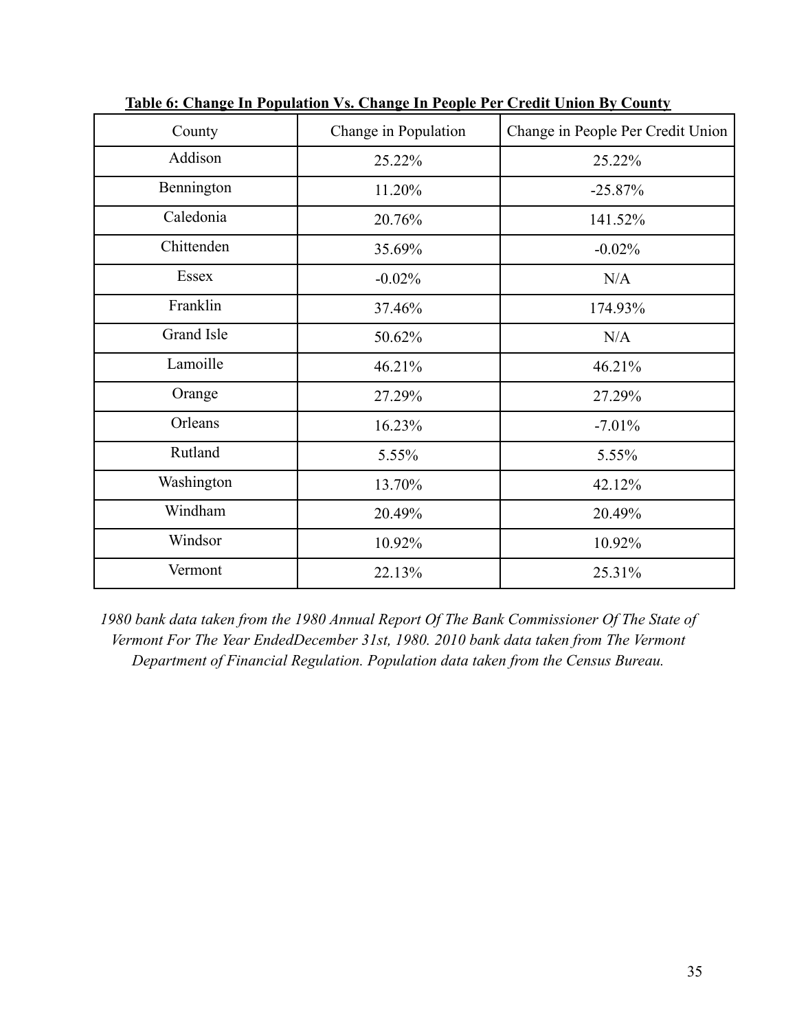| County     | Change in Population | Change in People Per Credit Union |
|------------|----------------------|-----------------------------------|
| Addison    | 25.22%               | 25.22%                            |
| Bennington | 11.20%               | $-25.87%$                         |
| Caledonia  | 20.76%               | 141.52%                           |
| Chittenden | 35.69%               | $-0.02%$                          |
| Essex      | $-0.02%$             | N/A                               |
| Franklin   | 37.46%               | 174.93%                           |
| Grand Isle | 50.62%               | N/A                               |
| Lamoille   | 46.21%               | 46.21%                            |
| Orange     | 27.29%               | 27.29%                            |
| Orleans    | 16.23%               | $-7.01%$                          |
| Rutland    | 5.55%                | 5.55%                             |
| Washington | 13.70%               | 42.12%                            |
| Windham    | 20.49%               | 20.49%                            |
| Windsor    | 10.92%               | 10.92%                            |
| Vermont    | 22.13%               | 25.31%                            |

**Table 6: Change In Population Vs. Change In People Per Credit Union By County**

*1980 bank data taken from the 1980 Annual Report Of The Bank Commissioner Of The State of Vermont For The Year EndedDecember 31st, 1980. 2010 bank data taken from The Vermont Department of Financial Regulation. Population data taken from the Census Bureau.*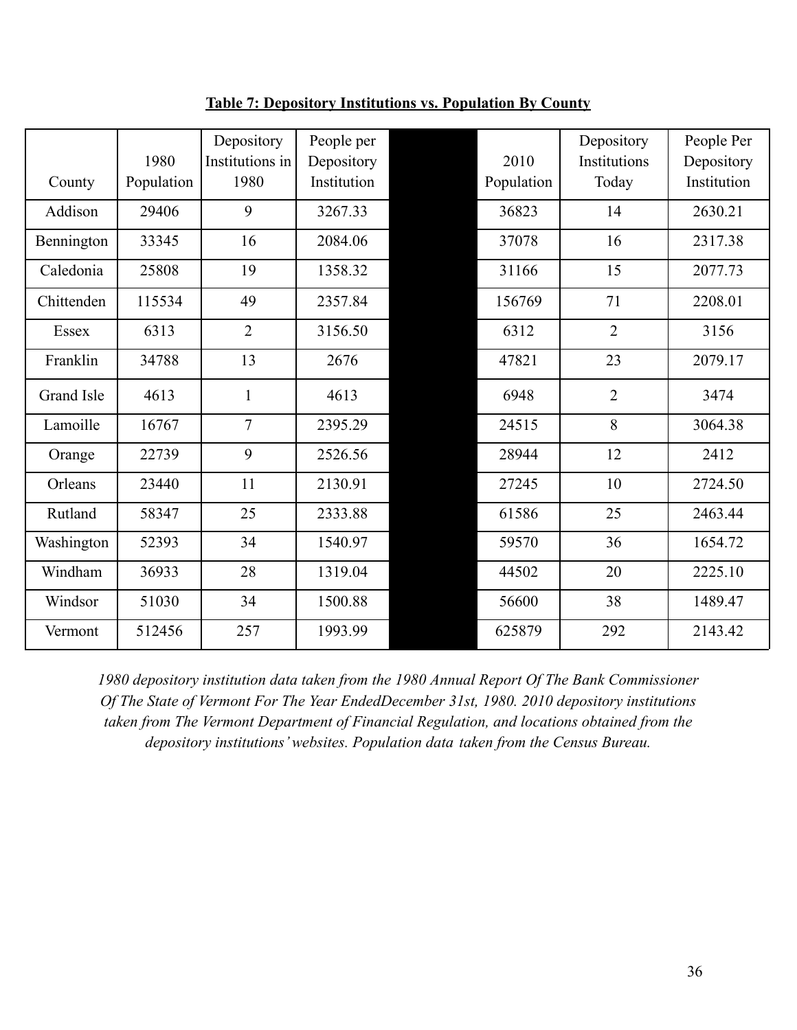|            | 1980       | Depository<br>Institutions in | People per<br>Depository | 2010       | Depository<br>Institutions | People Per<br>Depository |
|------------|------------|-------------------------------|--------------------------|------------|----------------------------|--------------------------|
| County     | Population | 1980                          | Institution              | Population | Today                      | Institution              |
| Addison    | 29406      | 9                             | 3267.33                  | 36823      | 14                         | 2630.21                  |
| Bennington | 33345      | 16                            | 2084.06                  | 37078      | 16                         | 2317.38                  |
| Caledonia  | 25808      | 19                            | 1358.32                  | 31166      | 15                         | 2077.73                  |
| Chittenden | 115534     | 49                            | 2357.84                  | 156769     | 71                         | 2208.01                  |
| Essex      | 6313       | $\overline{2}$                | 3156.50                  | 6312       | $\overline{2}$             | 3156                     |
| Franklin   | 34788      | 13                            | 2676                     | 47821      | 23                         | 2079.17                  |
| Grand Isle | 4613       | $\mathbf{1}$                  | 4613                     | 6948       | $\overline{2}$             | 3474                     |
| Lamoille   | 16767      | $\overline{7}$                | 2395.29                  | 24515      | 8                          | 3064.38                  |
| Orange     | 22739      | 9                             | 2526.56                  | 28944      | 12                         | 2412                     |
| Orleans    | 23440      | 11                            | 2130.91                  | 27245      | 10                         | 2724.50                  |
| Rutland    | 58347      | 25                            | 2333.88                  | 61586      | 25                         | 2463.44                  |
| Washington | 52393      | 34                            | 1540.97                  | 59570      | 36                         | 1654.72                  |
| Windham    | 36933      | 28                            | 1319.04                  | 44502      | 20                         | 2225.10                  |
| Windsor    | 51030      | 34                            | 1500.88                  | 56600      | 38                         | 1489.47                  |
| Vermont    | 512456     | 257                           | 1993.99                  | 625879     | 292                        | 2143.42                  |

**Table 7: Depository Institutions vs. Population By County**

*1980 depository institution data taken from the 1980 Annual Report Of The Bank Commissioner Of The State of Vermont For The Year EndedDecember 31st, 1980. 2010 depository institutions taken from The Vermont Department of Financial Regulation, and locations obtained from the depository institutions' websites. Population data taken from the Census Bureau.*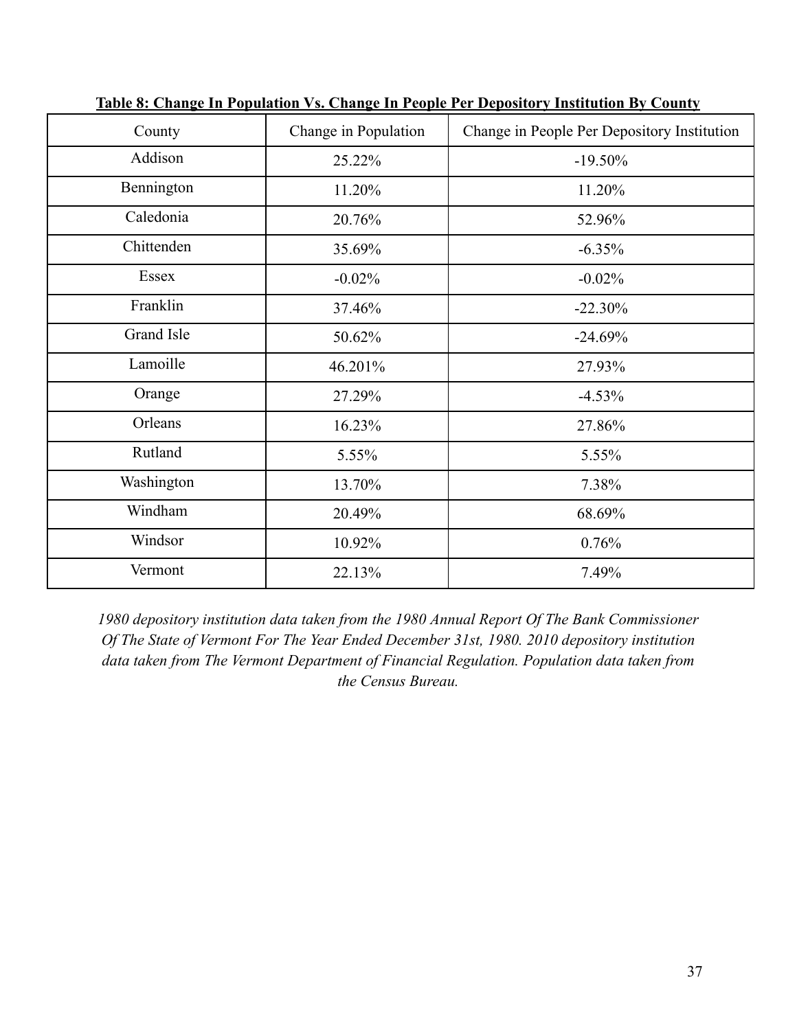| County     | Change in Population | Change in People Per Depository Institution |
|------------|----------------------|---------------------------------------------|
| Addison    | 25.22%               | $-19.50%$                                   |
| Bennington | 11.20%               | 11.20%                                      |
| Caledonia  | 20.76%               | 52.96%                                      |
| Chittenden | 35.69%               | $-6.35%$                                    |
| Essex      | $-0.02%$             | $-0.02%$                                    |
| Franklin   | 37.46%               | $-22.30%$                                   |
| Grand Isle | 50.62%               | $-24.69%$                                   |
| Lamoille   | 46.201%              | 27.93%                                      |
| Orange     | 27.29%               | $-4.53%$                                    |
| Orleans    | 16.23%               | 27.86%                                      |
| Rutland    | 5.55%                | 5.55%                                       |
| Washington | 13.70%               | 7.38%                                       |
| Windham    | 20.49%               | 68.69%                                      |
| Windsor    | 10.92%               | 0.76%                                       |
| Vermont    | 22.13%               | 7.49%                                       |

**Table 8: Change In Population Vs. Change In People Per Depository Institution By County**

*1980 depository institution data taken from the 1980 Annual Report Of The Bank Commissioner Of The State of Vermont For The Year Ended December 31st, 1980. 2010 depository institution data taken from The Vermont Department of Financial Regulation. Population data taken from the Census Bureau.*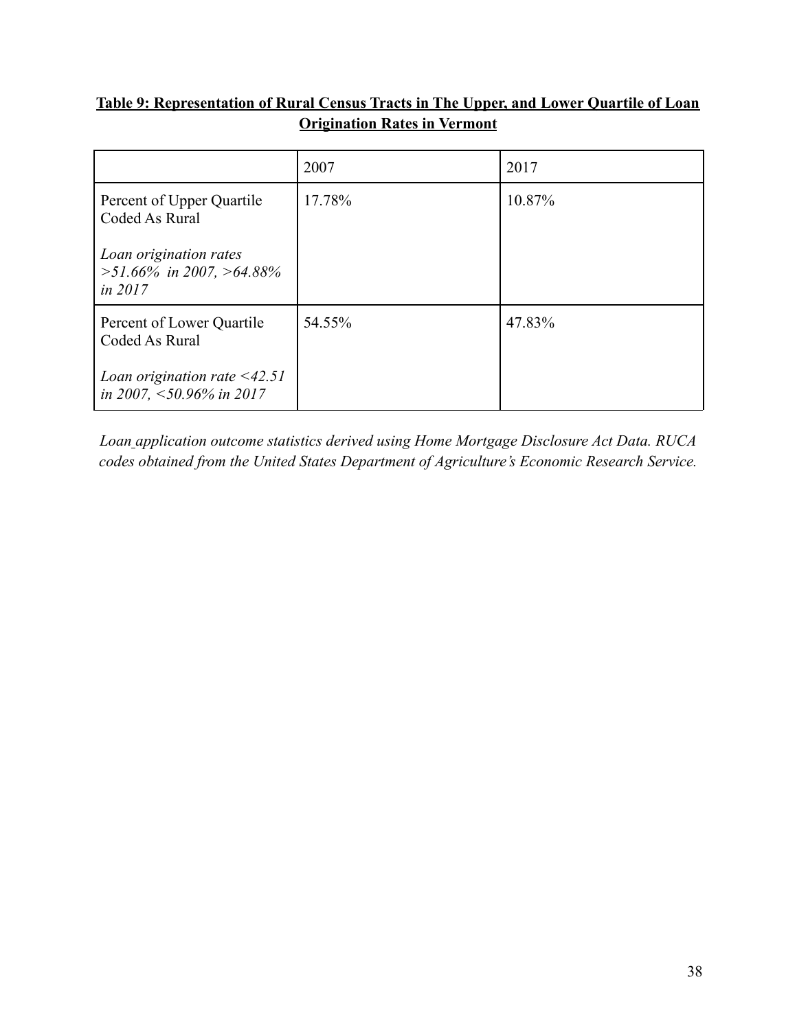# **Table 9: Representation of Rural Census Tracts in The Upper, and Lower Quartile of Loan Origination Rates in Vermont**

|                                                                       | 2007   | 2017   |
|-----------------------------------------------------------------------|--------|--------|
| Percent of Upper Quartile<br>Coded As Rural                           | 17.78% | 10.87% |
| Loan origination rates<br>$>51.66\%$ in 2007, $>64.88\%$<br>in $2017$ |        |        |
| Percent of Lower Quartile<br>Coded As Rural                           | 54.55% | 47.83% |
| Loan origination rate $\leq$ 42.51<br>in 2007, $\leq$ 50.96% in 2017  |        |        |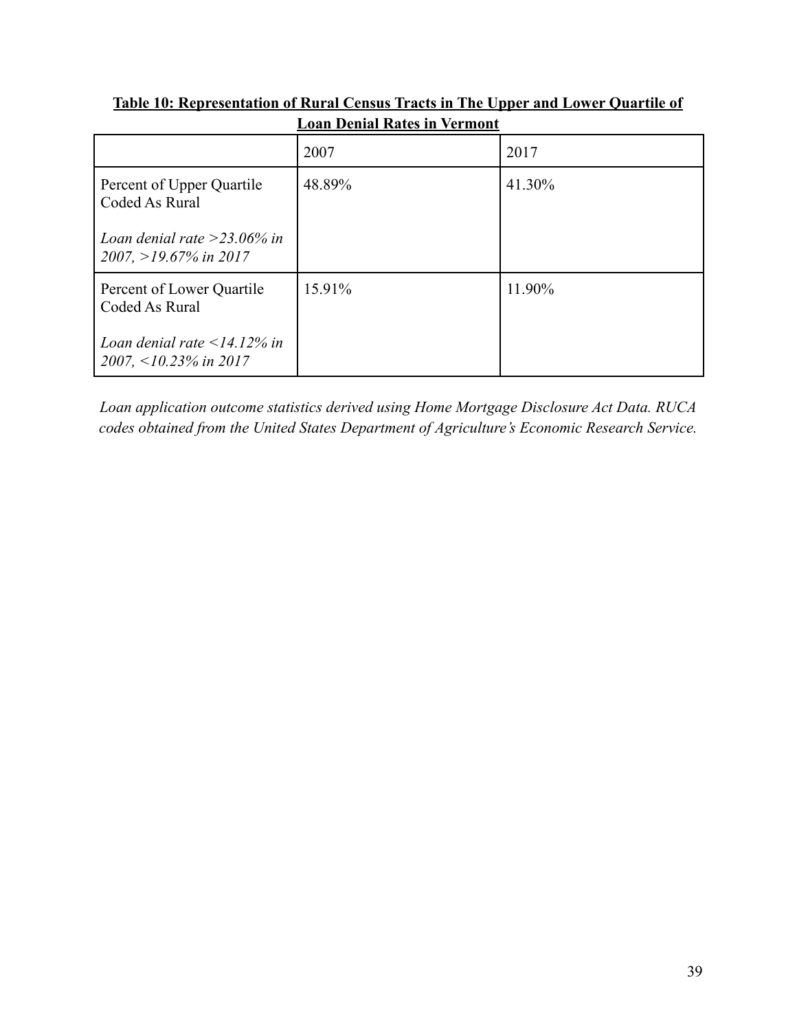|                                                                  | шойн <i>d</i> снійі тайсея ні тегінена |        |  |  |  |  |
|------------------------------------------------------------------|----------------------------------------|--------|--|--|--|--|
|                                                                  | 2007                                   | 2017   |  |  |  |  |
| Percent of Upper Quartile<br>Coded As Rural                      | 48.89%                                 | 41.30% |  |  |  |  |
| Loan denial rate > 23.06% in<br>$2007, >19.67\%$ in 2017         |                                        |        |  |  |  |  |
| Percent of Lower Quartile<br>Coded As Rural                      | 15.91%                                 | 11.90% |  |  |  |  |
| Loan denial rate $\leq$ 14.12% in<br>2007, $\leq$ 10.23% in 2017 |                                        |        |  |  |  |  |

**Table 10: Representation of Rural Census Tracts in The Upper and Lower Quartile of Loan Denial Rates in Vermont**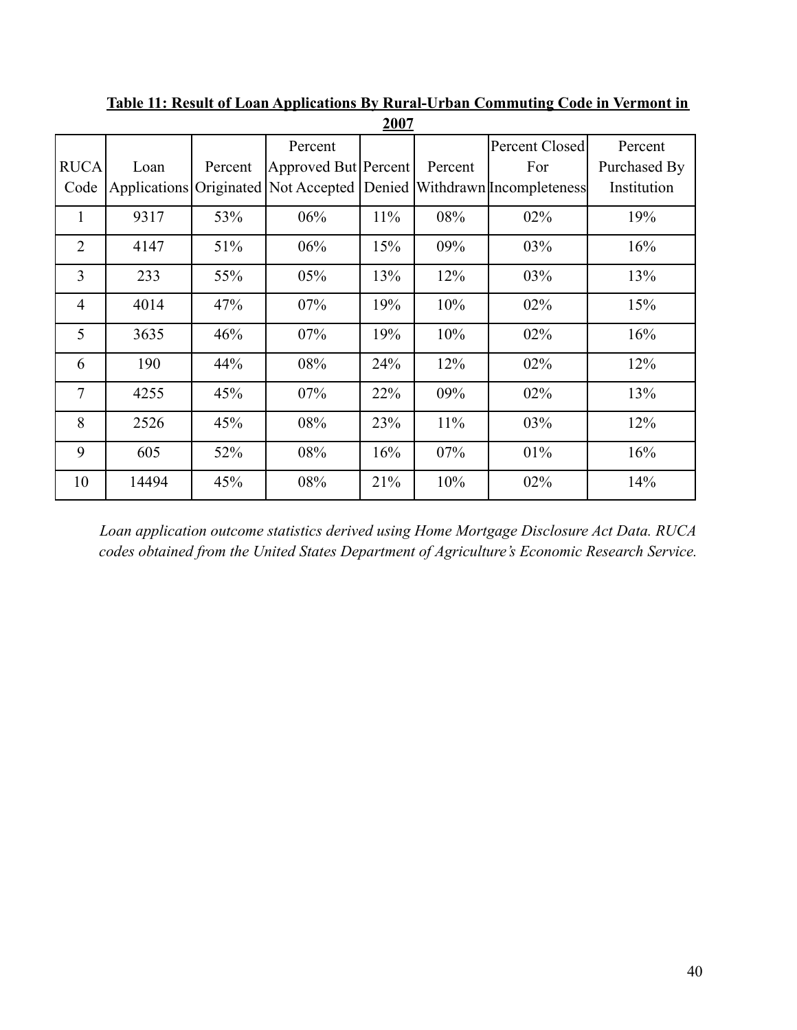|                |       |         |                                             | $\cdots$ |         |                          |              |
|----------------|-------|---------|---------------------------------------------|----------|---------|--------------------------|--------------|
|                |       |         | Percent                                     |          |         | Percent Closed           | Percent      |
| <b>RUCA</b>    | Loan  | Percent | Approved But Percent                        |          | Percent | For                      | Purchased By |
| Code           |       |         | Applications Originated Not Accepted Denied |          |         | Withdrawn Incompleteness | Institution  |
| 1              | 9317  | 53%     | 06%                                         | 11%      | 08%     | 02%                      | 19%          |
| $\overline{2}$ | 4147  | 51%     | 06%                                         | 15%      | 09%     | 03%                      | 16%          |
| 3              | 233   | 55%     | 05%                                         | 13%      | 12%     | 03%                      | 13%          |
| $\overline{4}$ | 4014  | 47%     | 07%                                         | 19%      | 10%     | 02%                      | 15%          |
| 5              | 3635  | 46%     | 07%                                         | 19%      | 10%     | 02%                      | 16%          |
| 6              | 190   | 44%     | 08%                                         | 24%      | 12%     | 02%                      | 12%          |
| $\tau$         | 4255  | 45%     | 07%                                         | 22%      | 09%     | 02%                      | 13%          |
| 8              | 2526  | 45%     | 08%                                         | 23%      | 11%     | 03%                      | 12%          |
| 9              | 605   | 52%     | 08%                                         | 16%      | 07%     | 01%                      | 16%          |
| 10             | 14494 | 45%     | 08%                                         | 21%      | 10%     | 02%                      | 14%          |
|                |       |         |                                             |          |         |                          |              |

**Table 11: Result of Loan Applications By Rural-Urban Commuting Code in Vermont in 2007**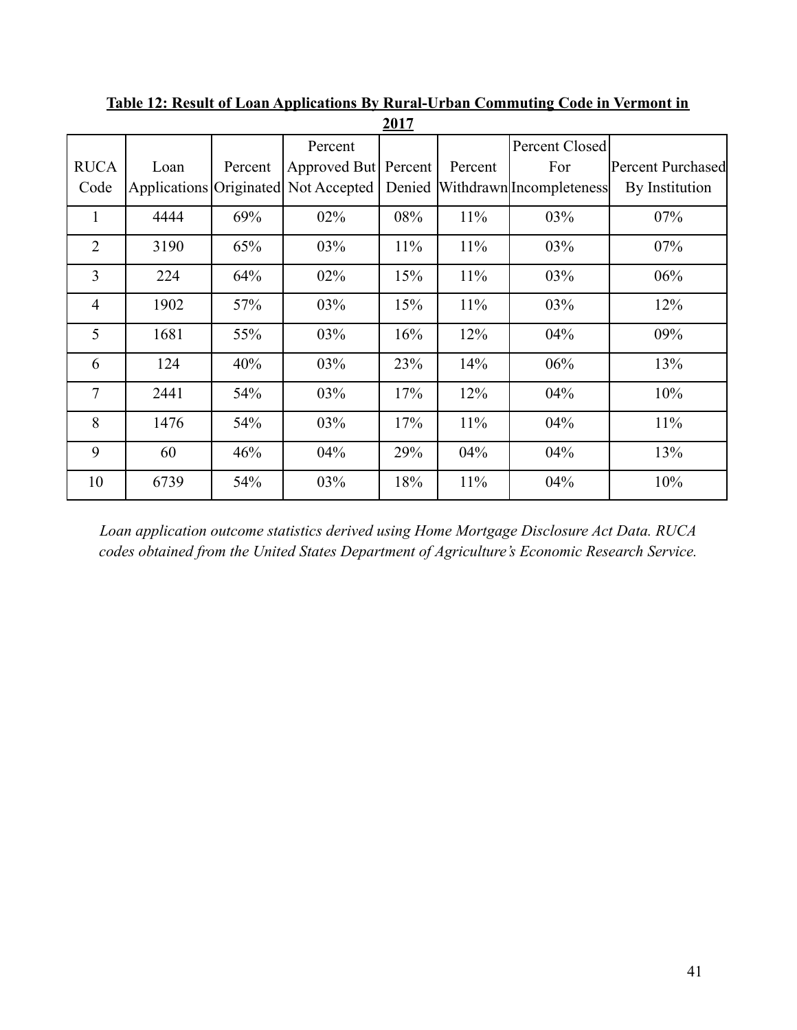|                |      |         |                                      | <u> 401  </u> |         |                                 |                   |
|----------------|------|---------|--------------------------------------|---------------|---------|---------------------------------|-------------------|
|                |      |         | Percent                              |               |         | Percent Closed                  |                   |
| <b>RUCA</b>    | Loan | Percent | Approved But Percent                 |               | Percent | For                             | Percent Purchased |
| Code           |      |         | Applications Originated Not Accepted |               |         | Denied Withdrawn Incompleteness | By Institution    |
| $\mathbf{1}$   | 4444 | 69%     | $02\%$                               | 08%           | 11%     | 03%                             | 07%               |
| $\overline{2}$ | 3190 | 65%     | 03%                                  | 11%           | 11%     | 03%                             | 07%               |
| 3              | 224  | 64%     | 02%                                  | 15%           | 11%     | 03%                             | 06%               |
| $\overline{4}$ | 1902 | 57%     | 03%                                  | 15%           | 11%     | 03%                             | 12%               |
| 5              | 1681 | 55%     | 03%                                  | 16%           | 12%     | 04%                             | 09%               |
| 6              | 124  | 40%     | 03%                                  | 23%           | 14%     | 06%                             | 13%               |
| $\overline{7}$ | 2441 | 54%     | 03%                                  | 17%           | 12%     | 04%                             | 10%               |
| 8              | 1476 | 54%     | 03%                                  | 17%           | 11%     | 04%                             | 11%               |
| 9              | 60   | 46%     | 04%                                  | 29%           | 04%     | 04%                             | 13%               |
| 10             | 6739 | 54%     | 03%                                  | 18%           | 11%     | 04%                             | 10%               |

**Table 12: Result of Loan Applications By Rural-Urban Commuting Code in Vermont in 2017**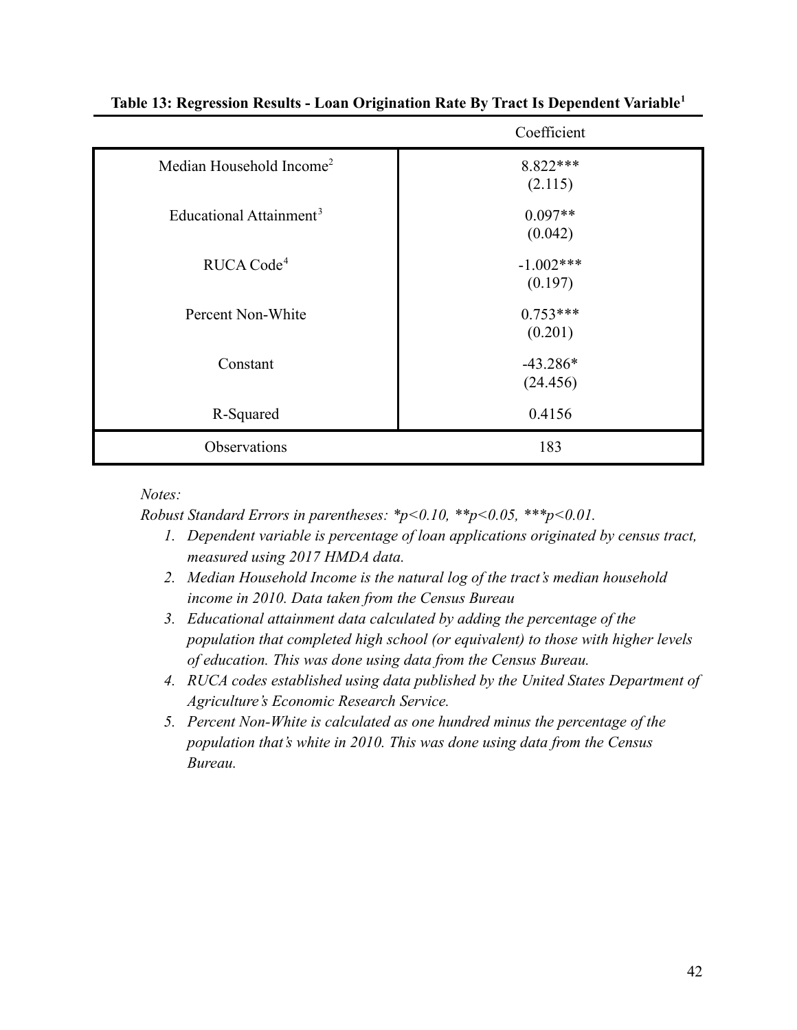|                                      | Coefficient            |
|--------------------------------------|------------------------|
| Median Household Income <sup>2</sup> | 8.822***<br>(2.115)    |
| Educational Attainment <sup>3</sup>  | $0.097**$<br>(0.042)   |
| RUCA Code <sup>4</sup>               | $-1.002***$<br>(0.197) |
| Percent Non-White                    | $0.753***$<br>(0.201)  |
| Constant                             | $-43.286*$<br>(24.456) |
| R-Squared                            | 0.4156                 |
| Observations                         | 183                    |

## **Table 13: Regression Results - Loan Origination Rate By Tract Is Dependent Variable<sup>1</sup>**

*Notes:*

*Robust Standard Errors in parentheses: \*p<0.10, \*\*p<0.05, \*\*\*p<0.01.*

- *1. Dependent variable is percentage of loan applications originated by census tract, measured using 2017 HMDA data.*
- *2. Median Household Income is the natural log of the tract's median household income in 2010. Data taken from the Census Bureau*
- *3. Educational attainment data calculated by adding the percentage of the population that completed high school (or equivalent) to those with higher levels of education. This was done using data from the Census Bureau.*
- *4. RUCA codes established using data published by the United States Department of Agriculture's Economic Research Service.*
- *5. Percent Non-White is calculated as one hundred minus the percentage of the population that's white in 2010. This was done using data from the Census Bureau.*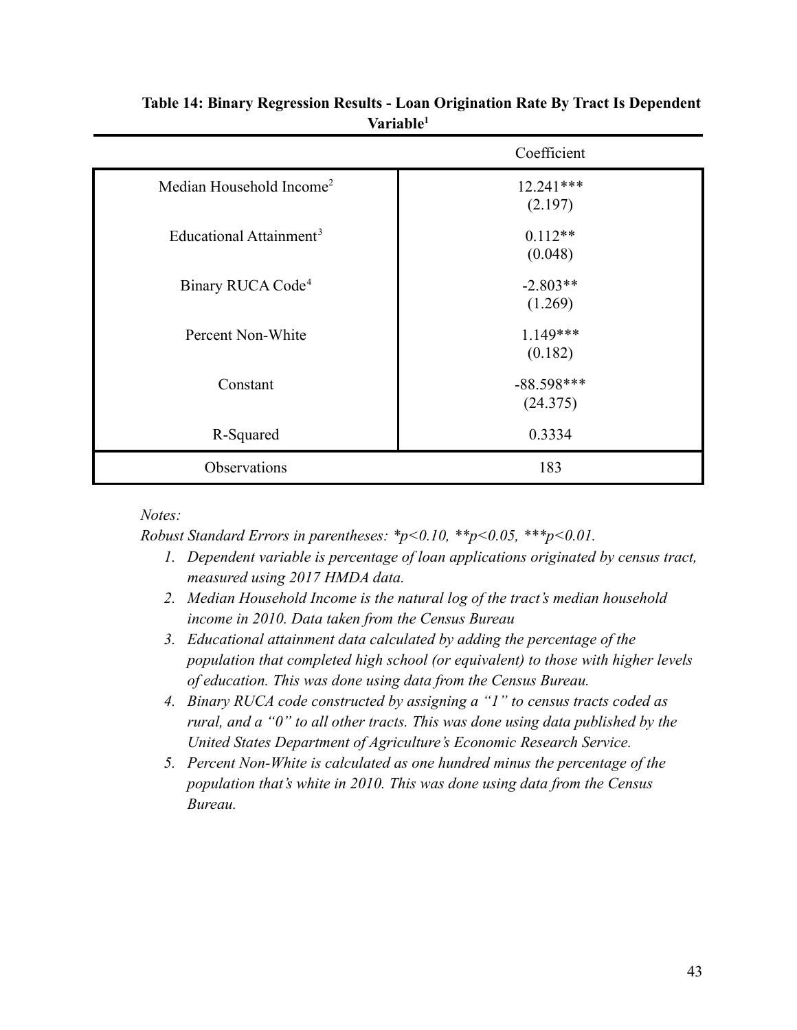|                                      | Coefficient              |
|--------------------------------------|--------------------------|
| Median Household Income <sup>2</sup> | 12.241***<br>(2.197)     |
| Educational Attainment <sup>3</sup>  | $0.112**$<br>(0.048)     |
| Binary RUCA Code <sup>4</sup>        | $-2.803**$<br>(1.269)    |
| Percent Non-White                    | $1.149***$<br>(0.182)    |
| Constant                             | $-88.598***$<br>(24.375) |
| R-Squared                            | 0.3334                   |
| Observations                         | 183                      |

# **Table 14: Binary Regression Results - Loan Origination Rate By Tract Is Dependent Variable<sup>1</sup>**

# *Notes:*

*Robust Standard Errors in parentheses: \*p<0.10, \*\*p<0.05, \*\*\*p<0.01.*

- *1. Dependent variable is percentage of loan applications originated by census tract, measured using 2017 HMDA data.*
- *2. Median Household Income is the natural log of the tract's median household income in 2010. Data taken from the Census Bureau*
- *3. Educational attainment data calculated by adding the percentage of the population that completed high school (or equivalent) to those with higher levels of education. This was done using data from the Census Bureau.*
- *4. Binary RUCA code constructed by assigning a "1" to census tracts coded as rural, and a "0" to all other tracts. This was done using data published by the United States Department of Agriculture's Economic Research Service.*
- *5. Percent Non-White is calculated as one hundred minus the percentage of the population that's white in 2010. This was done using data from the Census Bureau.*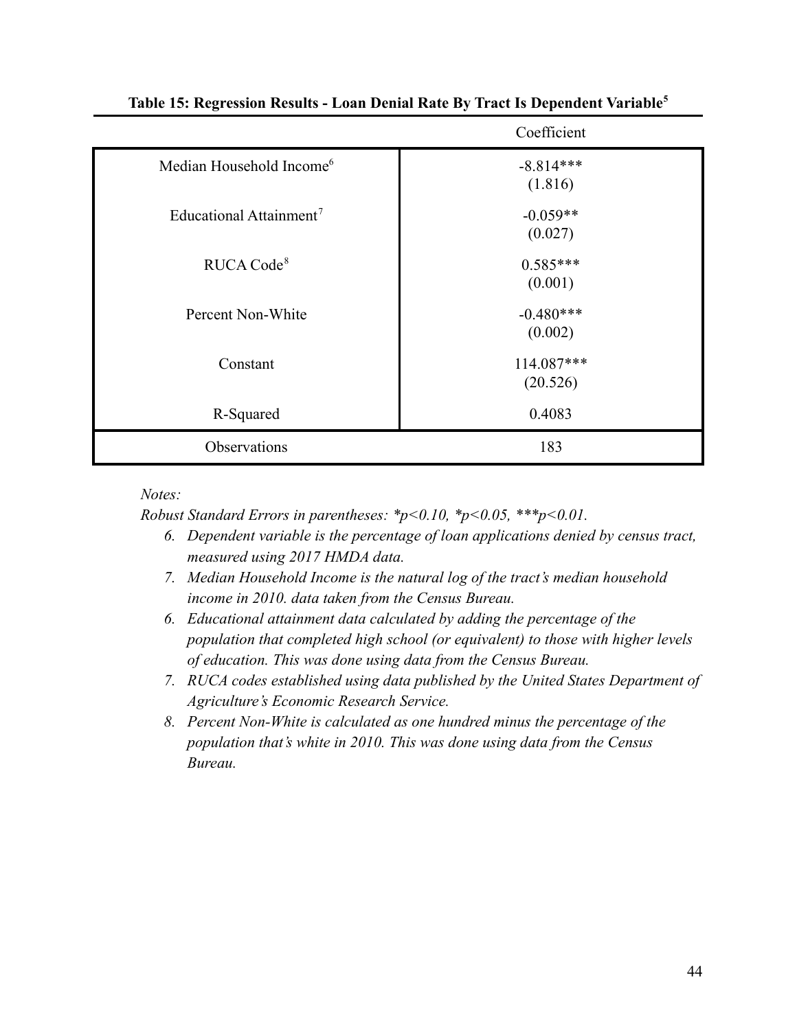|                                      | Coefficient            |
|--------------------------------------|------------------------|
| Median Household Income <sup>6</sup> | $-8.814***$<br>(1.816) |
| Educational Attainment <sup>7</sup>  | $-0.059**$<br>(0.027)  |
| RUCA Code <sup>8</sup>               | $0.585***$<br>(0.001)  |
| Percent Non-White                    | $-0.480***$<br>(0.002) |
| Constant                             | 114.087***<br>(20.526) |
| R-Squared                            | 0.4083                 |
| Observations                         | 183                    |

# **Table 15: Regression Results - Loan Denial Rate By Tract Is Dependent Variable<sup>5</sup>**

*Notes:*

*Robust Standard Errors in parentheses: \*p<0.10, \*p<0.05, \*\*\*p<0.01.*

- *6. Dependent variable is the percentage of loan applications denied by census tract, measured using 2017 HMDA data.*
- *7. Median Household Income is the natural log of the tract's median household income in 2010. data taken from the Census Bureau.*
- *6. Educational attainment data calculated by adding the percentage of the population that completed high school (or equivalent) to those with higher levels of education. This was done using data from the Census Bureau.*
- *7. RUCA codes established using data published by the United States Department of Agriculture's Economic Research Service.*
- *8. Percent Non-White is calculated as one hundred minus the percentage of the population that's white in 2010. This was done using data from the Census Bureau.*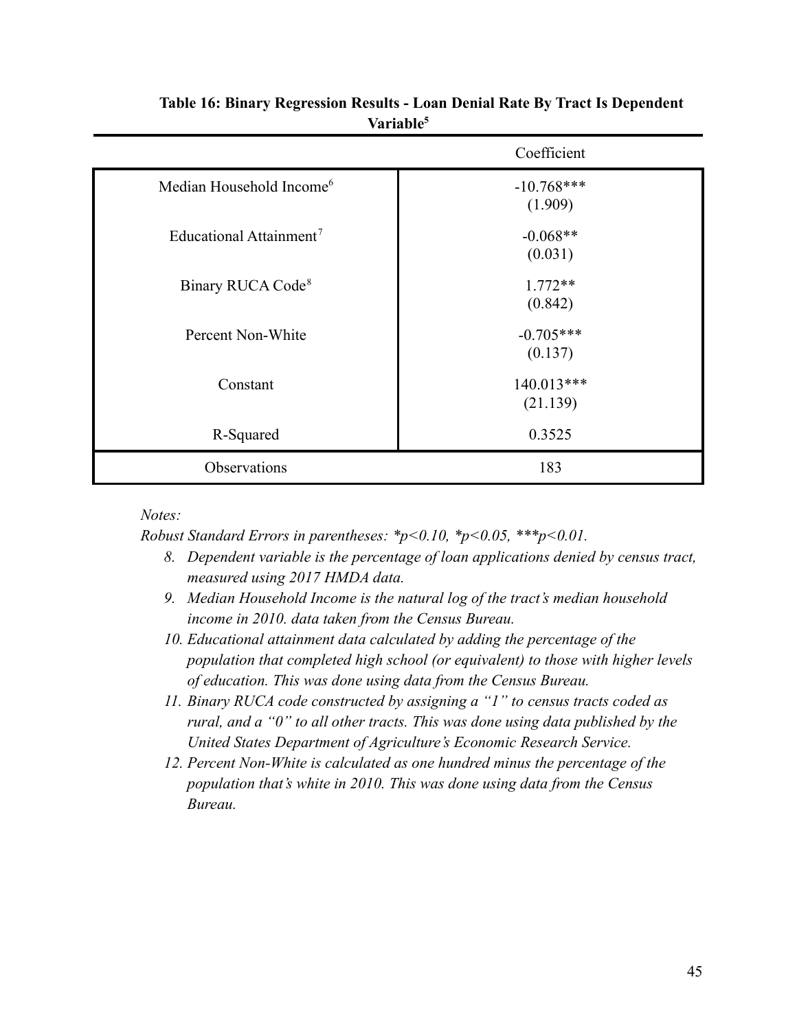|                                      | Coefficient             |
|--------------------------------------|-------------------------|
| Median Household Income <sup>6</sup> | $-10.768***$<br>(1.909) |
| Educational Attainment <sup>7</sup>  | $-0.068**$<br>(0.031)   |
| Binary RUCA Code <sup>8</sup>        | $1.772**$<br>(0.842)    |
| Percent Non-White                    | $-0.705***$<br>(0.137)  |
| Constant                             | 140.013***<br>(21.139)  |
| R-Squared                            | 0.3525                  |
| Observations                         | 183                     |

# **Table 16: Binary Regression Results - Loan Denial Rate By Tract Is Dependent Variable<sup>5</sup>**

# *Notes:*

*Robust Standard Errors in parentheses: \*p<0.10, \*p<0.05, \*\*\*p<0.01.*

- *8. Dependent variable is the percentage of loan applications denied by census tract, measured using 2017 HMDA data.*
- *9. Median Household Income is the natural log of the tract's median household income in 2010. data taken from the Census Bureau.*
- *10. Educational attainment data calculated by adding the percentage of the population that completed high school (or equivalent) to those with higher levels of education. This was done using data from the Census Bureau.*
- *11. Binary RUCA code constructed by assigning a "1" to census tracts coded as rural, and a "0" to all other tracts. This was done using data published by the United States Department of Agriculture's Economic Research Service.*
- *12. Percent Non-White is calculated as one hundred minus the percentage of the population that's white in 2010. This was done using data from the Census Bureau.*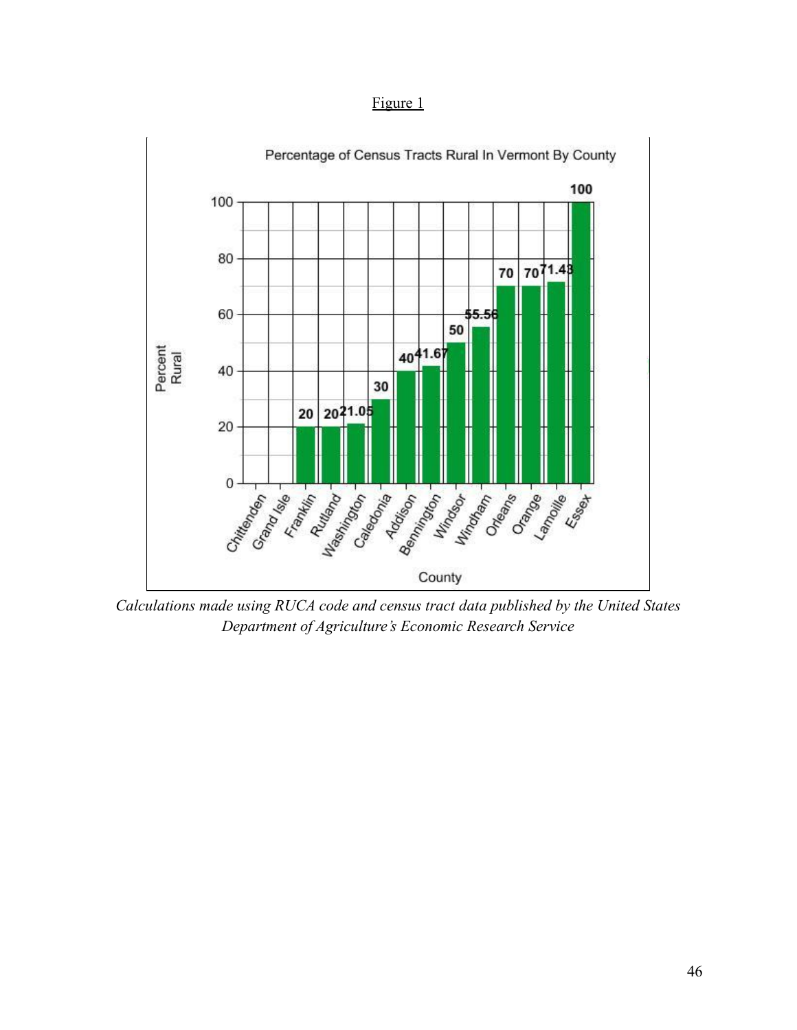Figure 1



*Calculations made using RUCA code and census tract data published by the United States Department of Agriculture's Economic Research Service*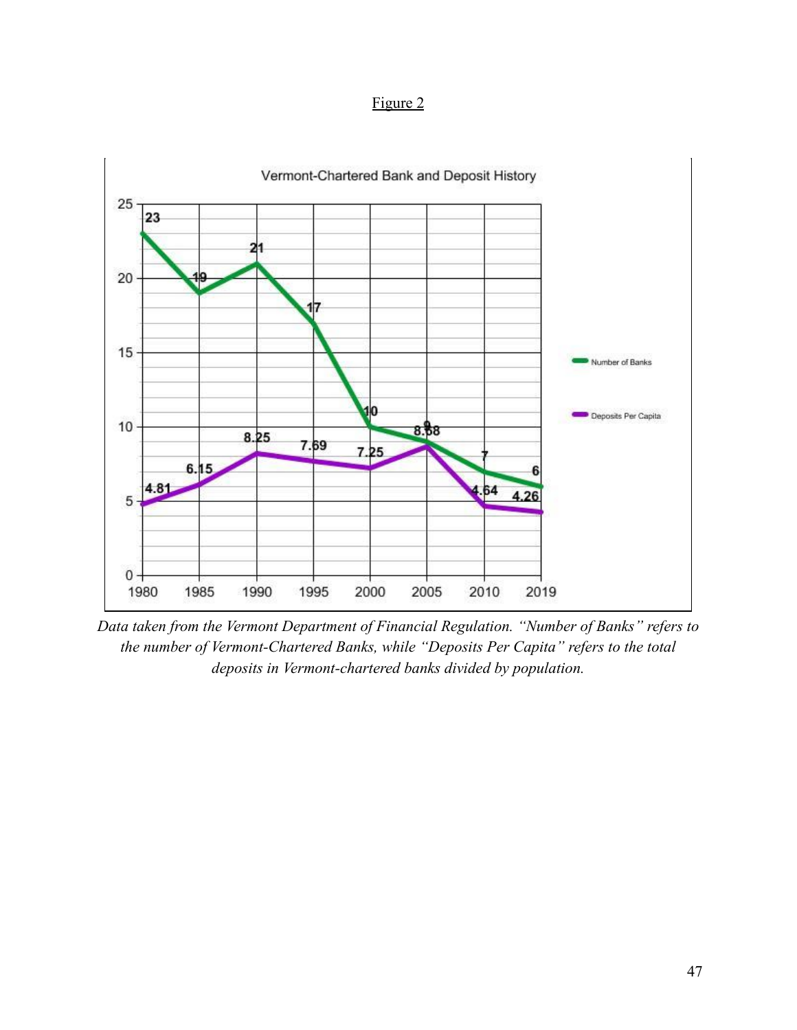Figure 2



*Data taken from the Vermont Department of Financial Regulation. "Number of Banks" refers to the number of Vermont-Chartered Banks, while "Deposits Per Capita" refers to the total deposits in Vermont-chartered banks divided by population.*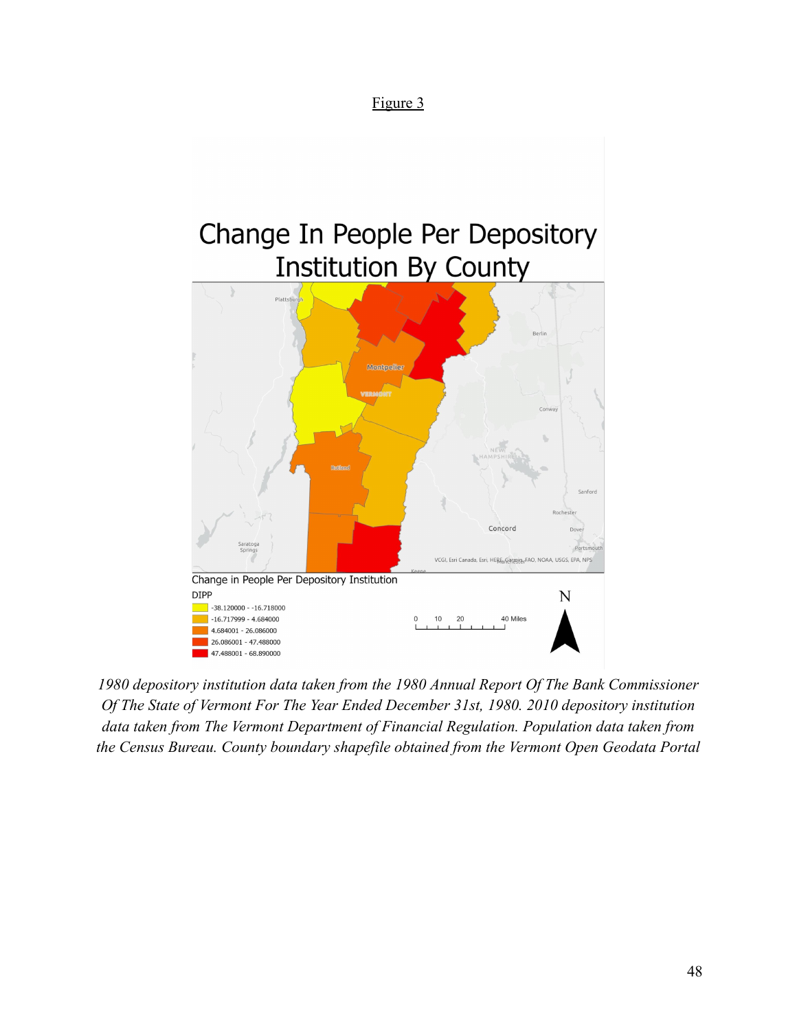# Figure 3

# Change In People Per Depository **Institution By County** Berlin



*1980 depository institution data taken from the 1980 Annual Report Of The Bank Commissioner Of The State of Vermont For The Year Ended December 31st, 1980. 2010 depository institution data taken from The Vermont Department of Financial Regulation. Population data taken from the Census Bureau. County boundary shapefile obtained from the Vermont Open Geodata Portal*